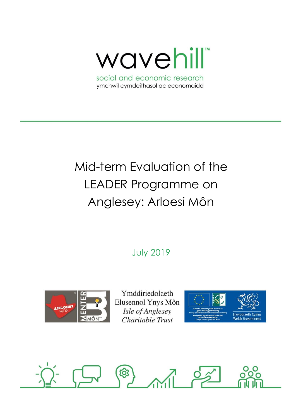wavehill

social and economic research ymchwil cymdeithasol ac economaidd

# Mid-term Evaluation of the LEADER Programme on Anglesey: Arloesi Môn

July 2019



Ymddiriedolaeth Elusennol Ynys Môn Isle of Anglesey Charitable Trust



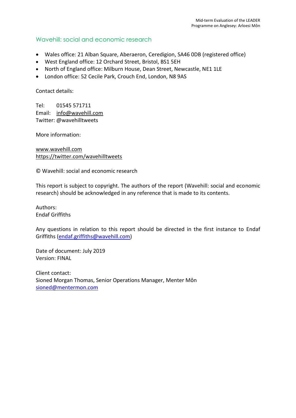## Wavehill: social and economic research

- Wales office: 21 Alban Square, Aberaeron, Ceredigion, SA46 0DB (registered office)
- West England office: 12 Orchard Street, Bristol, BS1 5EH
- North of England office: Milburn House, Dean Street, Newcastle, NE1 1LE
- London office: 52 Cecile Park, Crouch End, London, N8 9AS

Contact details:

Tel: 01545 571711 Email: [info@wavehill.com](mailto:info@wavehill.com) Twitter: @wavehilltweets

More information:

[www.wavehill.com](http://www.wavehill.com/) <https://twitter.com/wavehilltweets>

© Wavehill: social and economic research

This report is subject to copyright. The authors of the report (Wavehill: social and economic research) should be acknowledged in any reference that is made to its contents.

Authors: Endaf Griffiths

Any questions in relation to this report should be directed in the first instance to Endaf Griffiths [\(endaf.griffiths@wavehill.com\)](mailto:endaf.griffiths@wavehill.com)

Date of document: July 2019 Version: FINAL

Client contact: Sioned Morgan Thomas, Senior Operations Manager, Menter Môn [sioned@mentermon.com](mailto:sioned@mentermon.com)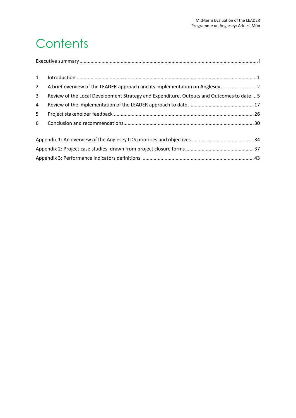# **Contents**

| 1           |                                                                                           |
|-------------|-------------------------------------------------------------------------------------------|
| $2^{\circ}$ |                                                                                           |
| 3           | Review of the Local Development Strategy and Expenditure, Outputs and Outcomes to date  5 |
| 4           |                                                                                           |
| 5           |                                                                                           |
| 6           |                                                                                           |
|             |                                                                                           |
|             |                                                                                           |
|             |                                                                                           |
|             |                                                                                           |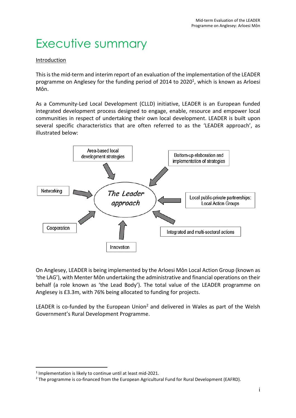# <span id="page-3-0"></span>Executive summary

## Introduction

This is the mid-term and interim report of an evaluation of the implementation of the LEADER programme on Anglesey for the funding period of 2014 to 2020<sup>1</sup>, which is known as Arloesi Môn.

As a Community-Led Local Development (CLLD) initiative, LEADER is an European funded integrated development process designed to engage, enable, resource and empower local communities in respect of undertaking their own local development. LEADER is built upon several specific characteristics that are often referred to as the 'LEADER approach', as illustrated below:



On Anglesey, LEADER is being implemented by the Arloesi Môn Local Action Group (known as 'the LAG'), with Menter Môn undertaking the administrative and financial operations on their behalf (a role known as 'the Lead Body'). The total value of the LEADER programme on Anglesey is £3.3m, with 76% being allocated to funding for projects.

LEADER is co-funded by the European Union<sup>2</sup> and delivered in Wales as part of the Welsh Government's Rural Development Programme.

<sup>&</sup>lt;sup>1</sup> Implementation is likely to continue until at least mid-2021.

<sup>&</sup>lt;sup>2</sup> The programme is co-financed from the European Agricultural Fund for Rural Development (EAFRD).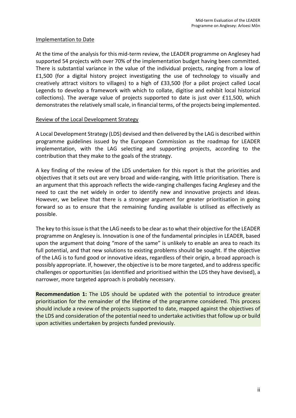#### Implementation to Date

At the time of the analysis for this mid-term review, the LEADER programme on Anglesey had supported 54 projects with over 70% of the implementation budget having been committed. There is substantial variance in the value of the individual projects, ranging from a low of £1,500 (for a digital history project investigating the use of technology to visually and creatively attract visitors to villages) to a high of £33,500 (for a pilot project called Local Legends to develop a framework with which to collate, digitise and exhibit local historical collections). The average value of projects supported to date is just over £11,500, which demonstrates the relatively small scale, in financial terms, of the projects being implemented.

#### Review of the Local Development Strategy

A Local Development Strategy (LDS) devised and then delivered by the LAG is described within programme guidelines issued by the European Commission as the roadmap for LEADER implementation, with the LAG selecting and supporting projects, according to the contribution that they make to the goals of the strategy.

A key finding of the review of the LDS undertaken for this report is that the priorities and objectives that it sets out are very broad and wide-ranging, with little prioritisation. There is an argument that this approach reflects the wide-ranging challenges facing Anglesey and the need to cast the net widely in order to identify new and innovative projects and ideas. However, we believe that there is a stronger argument for greater prioritisation in going forward so as to ensure that the remaining funding available is utilised as effectively as possible.

The key to this issue is that the LAG needs to be clear as to what their objective for the LEADER programme on Anglesey is. Innovation is one of the fundamental principles in LEADER, based upon the argument that doing "more of the same" is unlikely to enable an area to reach its full potential, and that new solutions to existing problems should be sought. If the objective of the LAG is to fund good or innovative ideas, regardless of their origin, a broad approach is possibly appropriate. If, however, the objective is to be more targeted, and to address specific challenges or opportunities (as identified and prioritised within the LDS they have devised), a narrower, more targeted approach is probably necessary.

**Recommendation 1:** The LDS should be updated with the potential to introduce greater prioritisation for the remainder of the lifetime of the programme considered. This process should include a review of the projects supported to date, mapped against the objectives of the LDS and consideration of the potential need to undertake activities that follow up or build upon activities undertaken by projects funded previously.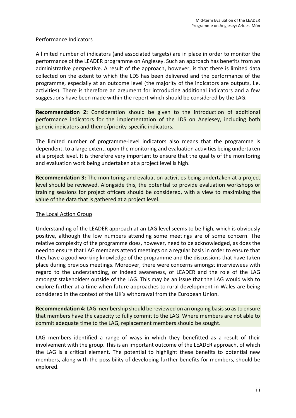## Performance Indicators

A limited number of indicators (and associated targets) are in place in order to monitor the performance of the LEADER programme on Anglesey. Such an approach has benefits from an administrative perspective. A result of the approach, however, is that there is limited data collected on the extent to which the LDS has been delivered and the performance of the programme, especially at an outcome level (the majority of the indicators are outputs, i.e. activities). There is therefore an argument for introducing additional indicators and a few suggestions have been made within the report which should be considered by the LAG.

**Recommendation 2:** Consideration should be given to the introduction of additional performance indicators for the implementation of the LDS on Anglesey, including both generic indicators and theme/priority-specific indicators.

The limited number of programme-level indicators also means that the programme is dependent, to a large extent, upon the monitoring and evaluation activities being undertaken at a project level. It is therefore very important to ensure that the quality of the monitoring and evaluation work being undertaken at a project level is high.

**Recommendation 3:** The monitoring and evaluation activities being undertaken at a project level should be reviewed. Alongside this, the potential to provide evaluation workshops or training sessions for project officers should be considered, with a view to maximising the value of the data that is gathered at a project level.

### The Local Action Group

Understanding of the LEADER approach at an LAG level seems to be high, which is obviously positive, although the low numbers attending some meetings are of some concern. The relative complexity of the programme does, however, need to be acknowledged, as does the need to ensure that LAG members attend meetings on a regular basis in order to ensure that they have a good working knowledge of the programme and the discussions that have taken place during previous meetings. Moreover, there were concerns amongst interviewees with regard to the understanding, or indeed awareness, of LEADER and the role of the LAG amongst stakeholders outside of the LAG. This may be an issue that the LAG would wish to explore further at a time when future approaches to rural development in Wales are being considered in the context of the UK's withdrawal from the European Union.

**Recommendation 4:** LAG membership should be reviewed on an ongoing basisso asto ensure that members have the capacity to fully commit to the LAG. Where members are not able to commit adequate time to the LAG, replacement members should be sought.

LAG members identified a range of ways in which they benefitted as a result of their involvement with the group. This is an important outcome of the LEADER approach, of which the LAG is a critical element. The potential to highlight these benefits to potential new members, along with the possibility of developing further benefits for members, should be explored.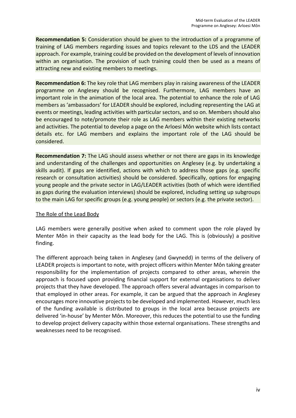**Recommendation 5:** Consideration should be given to the introduction of a programme of training of LAG members regarding issues and topics relevant to the LDS and the LEADER approach. For example, training could be provided on the development of levels of innovation within an organisation. The provision of such training could then be used as a means of attracting new and existing members to meetings.

**Recommendation 6:** The key role that LAG members play in raising awareness of the LEADER programme on Anglesey should be recognised. Furthermore, LAG members have an important role in the animation of the local area. The potential to enhance the role of LAG members as 'ambassadors' for LEADER should be explored, including representing the LAG at events or meetings, leading activities with particular sectors, and so on. Members should also be encouraged to note/promote their role as LAG members within their existing networks and activities. The potential to develop a page on the Arloesi Môn website which lists contact details etc. for LAG members and explains the important role of the LAG should be considered.

**Recommendation 7:** The LAG should assess whether or not there are gaps in its knowledge and understanding of the challenges and opportunities on Anglesey (e.g. by undertaking a skills audit). If gaps are identified, actions with which to address those gaps (e.g. specific research or consultation activities) should be considered. Specifically, options for engaging young people and the private sector in LAG/LEADER activities (both of which were identified as gaps during the evaluation interviews) should be explored, including setting up subgroups to the main LAG for specific groups (e.g. young people) or sectors (e.g. the private sector).

### The Role of the Lead Body

LAG members were generally positive when asked to comment upon the role played by Menter Môn in their capacity as the lead body for the LAG. This is (obviously) a positive finding.

The different approach being taken in Anglesey (and Gwynedd) in terms of the delivery of LEADER projects is important to note, with project officers within Menter Môn taking greater responsibility for the implementation of projects compared to other areas, wherein the approach is focused upon providing financial support for external organisations to deliver projects that they have developed. The approach offers several advantages in comparison to that employed in other areas. For example, it can be argued that the approach in Anglesey encourages more innovative projects to be developed and implemented. However, much less of the funding available is distributed to groups in the local area because projects are delivered 'in-house' by Menter Môn. Moreover, this reduces the potential to use the funding to develop project delivery capacity within those external organisations. These strengths and weaknesses need to be recognised.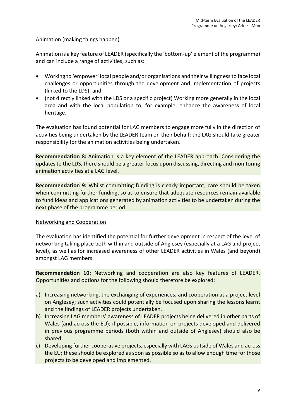### Animation (making things happen)

Animation is a key feature of LEADER (specifically the 'bottom-up' element of the programme) and can include a range of activities, such as:

- Working to 'empower' local people and/or organisations and their willingness to face local challenges or opportunities through the development and implementation of projects (linked to the LDS); and
- (not directly linked with the LDS or a specific project) Working more generally in the local area and with the local population to, for example, enhance the awareness of local heritage.

The evaluation has found potential for LAG members to engage more fully in the direction of activities being undertaken by the LEADER team on their behalf; the LAG should take greater responsibility for the animation activities being undertaken.

**Recommendation 8:** Animation is a key element of the LEADER approach. Considering the updates to the LDS, there should be a greater focus upon discussing, directing and monitoring animation activities at a LAG level.

**Recommendation 9:** Whilst committing funding is clearly important, care should be taken when committing further funding, so as to ensure that adequate resources remain available to fund ideas and applications generated by animation activities to be undertaken during the next phase of the programme period.

#### Networking and Cooperation

The evaluation has identified the potential for further development in respect of the level of networking taking place both within and outside of Anglesey (especially at a LAG and project level), as well as for increased awareness of other LEADER activities in Wales (and beyond) amongst LAG members.

**Recommendation 10:** Networking and cooperation are also key features of LEADER. Opportunities and options for the following should therefore be explored:

- a) Increasing networking, the exchanging of experiences, and cooperation at a project level on Anglesey; such activities could potentially be focused upon sharing the lessons learnt and the findings of LEADER projects undertaken.
- b) Increasing LAG members' awareness of LEADER projects being delivered in other parts of Wales (and across the EU); if possible, information on projects developed and delivered in previous programme periods (both within and outside of Anglesey) should also be shared.
- c) Developing further cooperative projects, especially with LAGs outside of Wales and across the EU; these should be explored as soon as possible so as to allow enough time for those projects to be developed and implemented.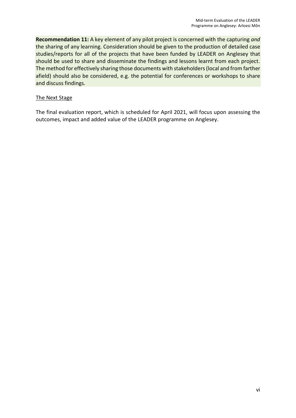**Recommendation 11:** A key element of any pilot project is concerned with the capturing *and* the sharing of any learning. Consideration should be given to the production of detailed case studies/reports for all of the projects that have been funded by LEADER on Anglesey that should be used to share and disseminate the findings and lessons learnt from each project. The method for effectively sharing those documents with stakeholders (local and from farther afield) should also be considered, e.g. the potential for conferences or workshops to share and discuss findings.

### The Next Stage

The final evaluation report, which is scheduled for April 2021, will focus upon assessing the outcomes, impact and added value of the LEADER programme on Anglesey.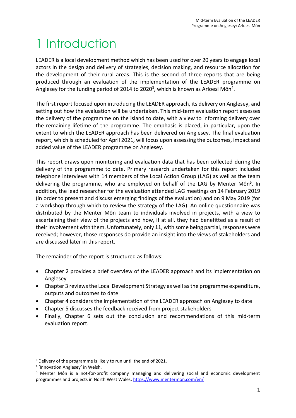# <span id="page-9-0"></span>1 Introduction

LEADER is a local development method which has been used for over 20 years to engage local actors in the design and delivery of strategies, decision making, and resource allocation for the development of their rural areas. This is the second of three reports that are being produced through an evaluation of the implementation of the LEADER programme on Anglesey for the funding period of 2014 to 2020<sup>3</sup>, which is known as Arloesi Môn<sup>4</sup>.

The first report focused upon introducing the LEADER approach, its delivery on Anglesey, and setting out how the evaluation will be undertaken. This mid-term evaluation report assesses the delivery of the programme on the island to date, with a view to informing delivery over the remaining lifetime of the programme. The emphasis is placed, in particular, upon the extent to which the LEADER approach has been delivered on Anglesey. The final evaluation report, which is scheduled for April 2021, will focus upon assessing the outcomes, impact and added value of the LEADER programme on Anglesey.

This report draws upon monitoring and evaluation data that has been collected during the delivery of the programme to date. Primary research undertaken for this report included telephone interviews with 14 members of the Local Action Group (LAG) as well as the team delivering the programme, who are employed on behalf of the LAG by Menter Môn<sup>5</sup>. In addition, the lead researcher for the evaluation attended LAG meetings on 14 February 2019 (in order to present and discuss emerging findings of the evaluation) and on 9 May 2019 (for a workshop through which to review the strategy of the LAG). An online questionnaire was distributed by the Menter Môn team to individuals involved in projects, with a view to ascertaining their view of the projects and how, if at all, they had benefitted as a result of their involvement with them. Unfortunately, only 11, with some being partial, responses were received; however, those responses do provide an insight into the views of stakeholders and are discussed later in this report.

The remainder of the report is structured as follows:

- Chapter 2 provides a brief overview of the LEADER approach and its implementation on Anglesey
- Chapter 3 reviews the Local Development Strategy as well as the programme expenditure, outputs and outcomes to date
- Chapter 4 considers the implementation of the LEADER approach on Anglesey to date
- Chapter 5 discusses the feedback received from project stakeholders
- Finally, Chapter 6 sets out the conclusion and recommendations of this mid-term evaluation report.

<sup>&</sup>lt;sup>3</sup> Delivery of the programme is likely to run until the end of 2021.

<sup>4</sup> 'Innovation Anglesey' in Welsh.

<sup>5</sup> Menter Môn is a not-for-profit company managing and delivering social and economic development programmes and projects in North West Wales:<https://www.mentermon.com/en/>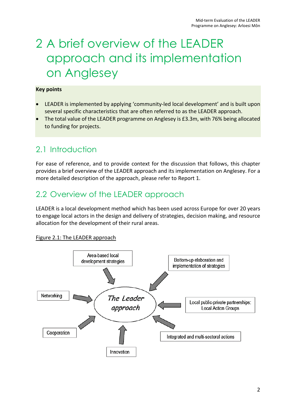# <span id="page-10-0"></span>2 A brief overview of the LEADER approach and its implementation on Anglesey

### **Key points**

- LEADER is implemented by applying 'community-led local development' and is built upon several specific characteristics that are often referred to as the LEADER approach.
- The total value of the LEADER programme on Anglesey is £3.3m, with 76% being allocated to funding for projects.

## 2.1 Introduction

For ease of reference, and to provide context for the discussion that follows, this chapter provides a brief overview of the LEADER approach and its implementation on Anglesey. For a more detailed description of the approach, please refer to Report 1.

# 2.2 Overview of the LEADER approach

LEADER is a local development method which has been used across Europe for over 20 years to engage local actors in the design and delivery of strategies, decision making, and resource allocation for the development of their rural areas.

### Figure 2.1: The LEADER approach

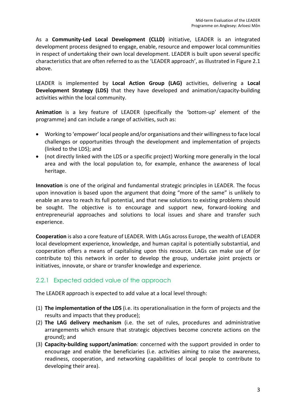As a **Community-Led Local Development (CLLD)** initiative, LEADER is an integrated development process designed to engage, enable, resource and empower local communities in respect of undertaking their own local development. LEADER is built upon several specific characteristics that are often referred to as the 'LEADER approach', as illustrated in Figure 2.1 above.

LEADER is implemented by **Local Action Group (LAG)** activities, delivering a **Local Development Strategy (LDS)** that they have developed and animation/capacity-building activities within the local community.

**Animation** is a key feature of LEADER (specifically the 'bottom-up' element of the programme) and can include a range of activities, such as:

- Working to 'empower' local people and/or organisations and their willingness to face local challenges or opportunities through the development and implementation of projects (linked to the LDS); and
- (not directly linked with the LDS or a specific project) Working more generally in the local area and with the local population to, for example, enhance the awareness of local heritage.

**Innovation** is one of the original and fundamental strategic principles in LEADER. The focus upon innovation is based upon the argument that doing "more of the same" is unlikely to enable an area to reach its full potential, and that new solutions to existing problems should be sought. The objective is to encourage and support new, forward-looking and entrepreneurial approaches and solutions to local issues and share and transfer such experience.

**Cooperation** is also a core feature of LEADER. With LAGs across Europe, the wealth of LEADER local development experience, knowledge, and human capital is potentially substantial, and cooperation offers a means of capitalising upon this resource. LAGs can make use of (or contribute to) this network in order to develop the group, undertake joint projects or initiatives, innovate, or share or transfer knowledge and experience.

## 2.2.1 Expected added value of the approach

The LEADER approach is expected to add value at a local level through:

- (1) **The implementation of the LDS** (i.e. its operationalisation in the form of projects and the results and impacts that they produce);
- (2) **The LAG delivery mechanism** (i.e. the set of rules, procedures and administrative arrangements which ensure that strategic objectives become concrete actions on the ground); and
- (3) **Capacity-building support/animation**: concerned with the support provided in order to encourage and enable the beneficiaries (i.e. activities aiming to raise the awareness, readiness, cooperation, and networking capabilities of local people to contribute to developing their area).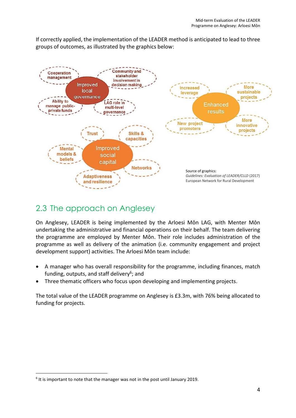If correctly applied, the implementation of the LEADER method is anticipated to lead to three groups of outcomes, as illustrated by the graphics below:



## 2.3 The approach on Anglesey

On Anglesey, LEADER is being implemented by the Arloesi Môn LAG, with Menter Môn undertaking the administrative and financial operations on their behalf. The team delivering the programme are employed by Menter Môn. Their role includes administration of the programme as well as delivery of the animation (i.e. community engagement and project development support) activities. The Arloesi Môn team include:

- A manager who has overall responsibility for the programme, including finances, match funding, outputs, and staff delivery<sup>6</sup>; and
- Three thematic officers who focus upon developing and implementing projects.

The total value of the LEADER programme on Anglesey is £3.3m, with 76% being allocated to funding for projects.

 $6$  It is important to note that the manager was not in the post until January 2019.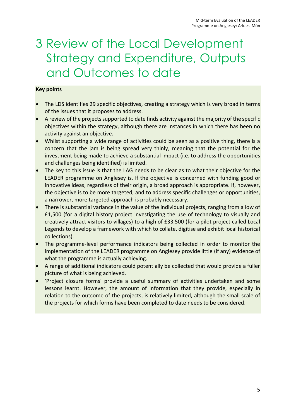# <span id="page-13-0"></span>3 Review of the Local Development Strategy and Expenditure, Outputs and Outcomes to date

## **Key points**

- The LDS identifies 29 specific objectives, creating a strategy which is very broad in terms of the issues that it proposes to address.
- A review of the projects supported to date finds activity against the majority of the specific objectives within the strategy, although there are instances in which there has been no activity against an objective.
- Whilst supporting a wide range of activities could be seen as a positive thing, there is a concern that the jam is being spread very thinly, meaning that the potential for the investment being made to achieve a substantial impact (i.e. to address the opportunities and challenges being identified) is limited.
- The key to this issue is that the LAG needs to be clear as to what their objective for the LEADER programme on Anglesey is. If the objective is concerned with funding good or innovative ideas, regardless of their origin, a broad approach is appropriate. If, however, the objective is to be more targeted, and to address specific challenges or opportunities, a narrower, more targeted approach is probably necessary.
- There is substantial variance in the value of the individual projects, ranging from a low of £1,500 (for a digital history project investigating the use of technology to visually and creatively attract visitors to villages) to a high of £33,500 (for a pilot project called Local Legends to develop a framework with which to collate, digitise and exhibit local historical collections).
- The programme-level performance indicators being collected in order to monitor the implementation of the LEADER programme on Anglesey provide little (if any) evidence of what the programme is actually achieving.
- A range of additional indicators could potentially be collected that would provide a fuller picture of what is being achieved.
- 'Project closure forms' provide a useful summary of activities undertaken and some lessons learnt. However, the amount of information that they provide, especially in relation to the outcome of the projects, is relatively limited, although the small scale of the projects for which forms have been completed to date needs to be considered.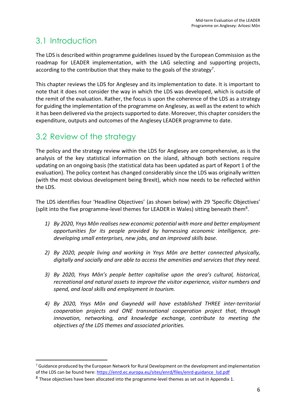# 3.1 Introduction

The LDS is described within programme guidelines issued by the European Commission as the roadmap for LEADER implementation, with the LAG selecting and supporting projects, according to the contribution that they make to the goals of the strategy<sup>7</sup>.

This chapter reviews the LDS for Anglesey and its implementation to date. It is important to note that it does not consider the way in which the LDS was developed, which is outside of the remit of the evaluation. Rather, the focus is upon the coherence of the LDS as a strategy for guiding the implementation of the programme on Anglesey, as well as the extent to which it has been delivered via the projects supported to date. Moreover, this chapter considers the expenditure, outputs and outcomes of the Anglesey LEADER programme to date.

# 3.2 Review of the strategy

The policy and the strategy review within the LDS for Anglesey are comprehensive, as is the analysis of the key statistical information on the island, although both sections require updating on an ongoing basis (the statistical data has been updated as part of Report 1 of the evaluation). The policy context has changed considerably since the LDS was originally written (with the most obvious development being Brexit), which now needs to be reflected within the LDS.

The LDS identifies four 'Headline Objectives' (as shown below) with 29 'Specific Objectives' (split into the five programme-level themes for LEADER in Wales) sitting beneath them<sup>8</sup>.

- *1) By 2020, Ynys Môn realises new economic potential with more and better employment opportunities for its people provided by harnessing economic intelligence, predeveloping small enterprises, new jobs, and an improved skills base.*
- *2) By 2020, people living and working in Ynys Môn are better connected physically, digitally and socially and are able to access the amenities and services that they need.*
- *3) By 2020, Ynys Môn's people better capitalise upon the area's cultural, historical, recreational and natural assets to improve the visitor experience, visitor numbers and spend, and local skills and employment in tourism.*
- *4) By 2020, Ynys Môn and Gwynedd will have established THREE inter-territorial cooperation projects and ONE transnational cooperation project that, through innovation, networking, and knowledge exchange, contribute to meeting the objectives of the LDS themes and associated priorities.*

<sup>&</sup>lt;sup>7</sup> Guidance produced by the European Network for Rural Development on the development and implementation of the LDS can be found here[: https://enrd.ec.europa.eu/sites/enrd/files/enrd-guidance\\_lsd.pdf](https://enrd.ec.europa.eu/sites/enrd/files/enrd-guidance_lsd.pdf)

 $8$  These objectives have been allocated into the programme-level themes as set out in Appendix 1.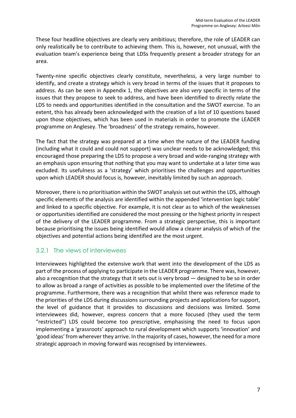These four headline objectives are clearly very ambitious; therefore, the role of LEADER can only realistically be to contribute to achieving them. This is, however, not unusual, with the evaluation team's experience being that LDSs frequently present a broader strategy for an area.

Twenty-nine specific objectives clearly constitute, nevertheless, a very large number to identify, and create a strategy which is very broad in terms of the issues that it proposes to address. As can be seen in Appendix 1, the objectives are also *very* specific in terms of the issues that they propose to seek to address, and have been identified to directly relate the LDS to needs and opportunities identified in the consultation and the SWOT exercise. To an extent, this has already been acknowledged with the creation of a list of 10 questions based upon those objectives, which has been used in materials in order to promote the LEADER programme on Anglesey. The 'broadness' of the strategy remains, however.

The fact that the strategy was prepared at a time when the nature of the LEADER funding (including what it could and could not support) was unclear needs to be acknowledged; this encouraged those preparing the LDS to propose a very broad and wide-ranging strategy with an emphasis upon ensuring that nothing that you may want to undertake at a later time was excluded. Its usefulness as a 'strategy' which prioritises the challenges and opportunities upon which LEADER should focus is, however, inevitably limited by such an approach.

Moreover, there is no prioritisation within the SWOT analysis set out within the LDS, although specific elements of the analysis are identified within the appended 'intervention logic table' and linked to a specific objective. For example, it is not clear as to which of the weaknesses or opportunities identified are considered the most pressing or the highest priority in respect of the delivery of the LEADER programme. From a strategic perspective, this is important because prioritising the issues being identified would allow a clearer analysis of which of the objectives and potential actions being identified are the most urgent.

## 3.2.1 The views of interviewees

Interviewees highlighted the extensive work that went into the development of the LDS as part of the process of applying to participate in the LEADER programme. There was, however, also a recognition that the strategy that it sets out is very broad — designed to be so in order to allow as broad a range of activities as possible to be implemented over the lifetime of the programme. Furthermore, there was a recognition that whilst there was reference made to the priorities of the LDS during discussions surrounding projects and applications for support, the level of guidance that it provides to discussions and decisions was limited. Some interviewees did, however, express concern that a more focused (they used the term "restricted") LDS could become too prescriptive, emphasising the need to focus upon implementing a 'grassroots' approach to rural development which supports 'innovation' and 'good ideas' from wherever they arrive. In the majority of cases, however, the need for a more strategic approach in moving forward was recognised by interviewees.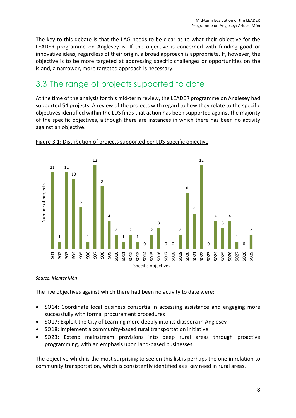The key to this debate is that the LAG needs to be clear as to what their objective for the LEADER programme on Anglesey is. If the objective is concerned with funding good or innovative ideas, regardless of their origin, a broad approach is appropriate. If, however, the objective is to be more targeted at addressing specific challenges or opportunities on the island, a narrower, more targeted approach is necessary.

## 3.3 The range of projects supported to date

At the time of the analysis for this mid-term review, the LEADER programme on Anglesey had supported 54 projects. A review of the projects with regard to how they relate to the specific objectives identified within the LDS finds that action has been supported against the majority of the specific objectives, although there are instances in which there has been no activity against an objective.



### Figure 3.1: Distribution of projects supported per LDS-specific objective

#### *Source: Menter Môn*

The five objectives against which there had been no activity to date were:

- SO14: Coordinate local business consortia in accessing assistance and engaging more successfully with formal procurement procedures
- SO17: Exploit the City of Learning more deeply into its diaspora in Anglesey
- SO18: Implement a community-based rural transportation initiative
- SO23: Extend mainstream provisions into deep rural areas through proactive programming, with an emphasis upon land-based businesses.

The objective which is the most surprising to see on this list is perhaps the one in relation to community transportation, which is consistently identified as a key need in rural areas.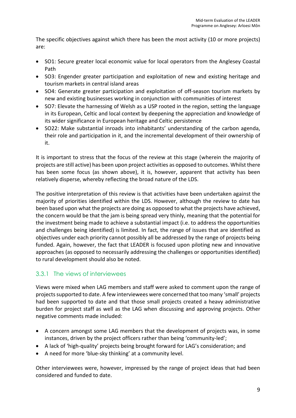The specific objectives against which there has been the most activity (10 or more projects) are:

- SO1: Secure greater local economic value for local operators from the Anglesey Coastal Path
- SO3: Engender greater participation and exploitation of new and existing heritage and tourism markets in central island areas
- SO4: Generate greater participation and exploitation of off-season tourism markets by new and existing businesses working in conjunction with communities of interest
- SO7: Elevate the harnessing of Welsh as a USP rooted in the region, setting the language in its European, Celtic and local context by deepening the appreciation and knowledge of its wider significance in European heritage and Celtic persistence
- SO22: Make substantial inroads into inhabitants' understanding of the carbon agenda, their role and participation in it, and the incremental development of their ownership of it.

It is important to stress that the focus of the review at this stage (wherein the majority of projects are still active) has been upon project activities as opposed to outcomes. Whilst there has been some focus (as shown above), it is, however, apparent that activity has been relatively disperse, whereby reflecting the broad nature of the LDS.

The positive interpretation of this review is that activities have been undertaken against the majority of priorities identified within the LDS. However, although the review to date has been based upon what the projects are doing as opposed to what the projects have achieved, the concern would be that the jam is being spread very thinly, meaning that the potential for the investment being made to achieve a substantial impact (i.e. to address the opportunities and challenges being identified) is limited. In fact, the range of issues that are identified as objectives under each priority cannot possibly all be addressed by the range of projects being funded. Again, however, the fact that LEADER is focused upon piloting new and innovative approaches (as opposed to necessarily addressing the challenges or opportunities identified) to rural development should also be noted.

## 3.3.1 The views of interviewees

Views were mixed when LAG members and staff were asked to comment upon the range of projects supported to date. A few interviewees were concerned that too many 'small' projects had been supported to date and that those small projects created a heavy administrative burden for project staff as well as the LAG when discussing and approving projects. Other negative comments made included:

- A concern amongst some LAG members that the development of projects was, in some instances, driven by the project officers rather than being 'community-led';
- A lack of 'high-quality' projects being brought forward for LAG's consideration; and
- A need for more 'blue-sky thinking' at a community level.

Other interviewees were, however, impressed by the range of project ideas that had been considered and funded to date.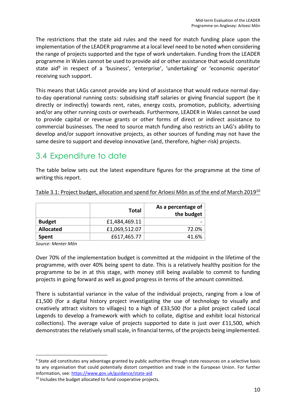The restrictions that the state aid rules and the need for match funding place upon the implementation of the LEADER programme at a local level need to be noted when considering the range of projects supported and the type of work undertaken. Funding from the LEADER programme in Wales cannot be used to provide aid or other assistance that would constitute state aid<sup>9</sup> in respect of a 'business', 'enterprise', 'undertaking' or 'economic operator' receiving such support.

This means that LAGs cannot provide any kind of assistance that would reduce normal dayto-day operational running costs: subsidising staff salaries or giving financial support (be it directly or indirectly) towards rent, rates, energy costs, promotion, publicity, advertising and/or any other running costs or overheads. Furthermore, LEADER in Wales cannot be used to provide capital or revenue grants or other forms of direct or indirect assistance to commercial businesses. The need to source match funding also restricts an LAG's ability to develop and/or support innovative projects, as other sources of funding may not have the same desire to support and develop innovative (and, therefore, higher-risk) projects.

## 3.4 Expenditure to date

The table below sets out the latest expenditure figures for the programme at the time of writing this report.

|                  | Total         | As a percentage of<br>the budget |
|------------------|---------------|----------------------------------|
| <b>Budget</b>    | £1,484,469.11 |                                  |
| <b>Allocated</b> | £1,069,512.07 | 72.0%                            |
| <b>Spent</b>     | £617,465.77   | 41.6%                            |

Table 3.1: Project budget, allocation and spend for Arloesi Môn as of the end of March 2019<sup>10</sup>

*Source: Menter Môn* 

Over 70% of the implementation budget is committed at the midpoint in the lifetime of the programme, with over 40% being spent to date. This is a relatively healthy position for the programme to be in at this stage, with money still being available to commit to funding projects in going forward as well as good progress in terms of the amount committed.

There is substantial variance in the value of the individual projects, ranging from a low of £1,500 (for a digital history project investigating the use of technology to visually and creatively attract visitors to villages) to a high of £33,500 (for a pilot project called Local Legends to develop a framework with which to collate, digitise and exhibit local historical collections). The average value of projects supported to date is just over £11,500, which demonstrates the relatively small scale, in financial terms, of the projects being implemented.

<sup>&</sup>lt;sup>9</sup> State aid constitutes any advantage granted by public authorities through state resources on a selective basis to any organisation that could potentially distort competition and trade in the European Union. For further information, see:<https://www.gov.uk/guidance/state-aid>

<sup>&</sup>lt;sup>10</sup> Includes the budget allocated to fund cooperative projects.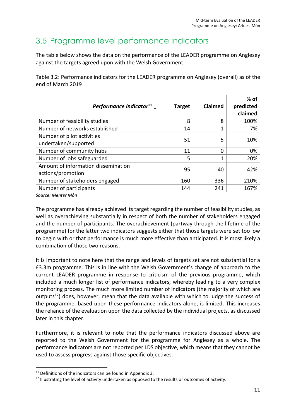# 3.5 Programme level performance indicators

The table below shows the data on the performance of the LEADER programme on Anglesey against the targets agreed upon with the Welsh Government.

| <b>Target</b> | Claimed | $%$ of<br>predicted<br>claimed |
|---------------|---------|--------------------------------|
| 8             | 8       | 100%                           |
| 14            | 1       | 7%                             |
| 51            | 5       | 10%                            |
| 11            | 0       | 0%                             |
| 5             | 1       | 20%                            |
| 95            | 40      | 42%                            |
| 160           | 336     | 210%                           |
| 144           | 241     | 167%                           |
|               |         |                                |

Table 3.2: Performance indicators for the LEADER programme on Anglesey (overall) as of the end of March 2019

*Source: Menter Môn*

The programme has already achieved its target regarding the number of feasibility studies, as well as overachieving substantially in respect of both the number of stakeholders engaged and the number of participants. The overachievement (partway through the lifetime of the programme) for the latter two indicators suggests either that those targets were set too low to begin with or that performance is much more effective than anticipated. It is most likely a combination of those two reasons.

It is important to note here that the range and levels of targets set are not substantial for a £3.3m programme. This is in line with the Welsh Government's change of approach to the current LEADER programme in response to criticism of the previous programme, which included a much longer list of performance indicators, whereby leading to a very complex monitoring process. The much more limited number of indicators (the majority of which are outputs<sup>12</sup>) does, however, mean that the data available with which to judge the success of the programme, based upon these performance indicators alone, is limited. This increases the reliance of the evaluation upon the data collected by the individual projects, as discussed later in this chapter.

Furthermore, it is relevant to note that the performance indicators discussed above are reported to the Welsh Government for the programme for Anglesey as a whole. The performance indicators are not reported per LDS objective, which means that they cannot be used to assess progress against those specific objectives.

 $11$  Definitions of the indicators can be found in Appendix 3.

<sup>&</sup>lt;sup>12</sup> Illustrating the level of activity undertaken as opposed to the results or outcomes of activity.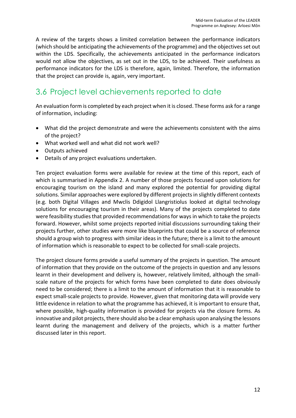A review of the targets shows a limited correlation between the performance indicators (which should be anticipating the achievements of the programme) and the objectives set out within the LDS. Specifically, the achievements anticipated in the performance indicators would not allow the objectives, as set out in the LDS, to be achieved. Their usefulness as performance indicators for the LDS is therefore, again, limited. Therefore, the information that the project can provide is, again, very important.

# 3.6 Project level achievements reported to date

An evaluation form is completed by each project when it is closed. These forms ask for a range of information, including:

- What did the project demonstrate and were the achievements consistent with the aims of the project?
- What worked well and what did not work well?
- Outputs achieved
- Details of any project evaluations undertaken.

Ten project evaluation forms were available for review at the time of this report, each of which is summarised in Appendix 2. A number of those projects focused upon solutions for encouraging tourism on the island and many explored the potential for providing digital solutions. Similar approaches were explored by different projects in slightly different contexts (e.g. both Digital Villages and Mwclis Ddigidol Llangristiolus looked at digital technology solutions for encouraging tourism in their areas). Many of the projects completed to date were feasibility studies that provided recommendations for ways in which to take the projects forward. However, whilst some projects reported initial discussions surrounding taking their projects further, other studies were more like blueprints that could be a source of reference should a group wish to progress with similar ideas in the future; there is a limit to the amount of information which is reasonable to expect to be collected for small-scale projects.

The project closure forms provide a useful summary of the projects in question. The amount of information that they provide on the outcome of the projects in question and any lessons learnt in their development and delivery is, however, relatively limited, although the smallscale nature of the projects for which forms have been completed to date does obviously need to be considered; there is a limit to the amount of information that it is reasonable to expect small-scale projects to provide. However, given that monitoring data will provide very little evidence in relation to what the programme has achieved, it is important to ensure that, where possible, high-quality information is provided for projects via the closure forms. As innovative and pilot projects, there should also be a clear emphasis upon analysing the lessons learnt during the management and delivery of the projects, which is a matter further discussed later in this report.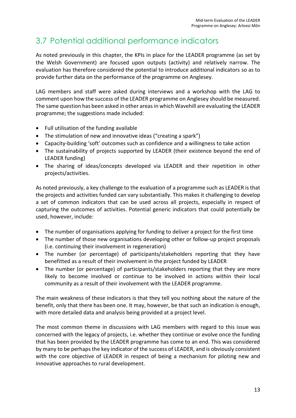# 3.7 Potential additional performance indicators

As noted previously in this chapter, the KPIs in place for the LEADER programme (as set by the Welsh Government) are focused upon outputs (activity) and relatively narrow. The evaluation has therefore considered the potential to introduce additional indicators so as to provide further data on the performance of the programme on Anglesey.

LAG members and staff were asked during interviews and a workshop with the LAG to comment upon how the success of the LEADER programme on Anglesey should be measured. The same question has been asked in other areas in which Wavehill are evaluating the LEADER programme; the suggestions made included:

- Full utilisation of the funding available
- The stimulation of new and innovative ideas ("creating a spark")
- Capacity-building 'soft' outcomes such as confidence and a willingness to take action
- The sustainability of projects supported by LEADER (their existence beyond the end of LEADER funding)
- The sharing of ideas/concepts developed via LEADER and their repetition in other projects/activities.

As noted previously, a key challenge to the evaluation of a programme such as LEADER is that the projects and activities funded can vary substantially. This makes it challenging to develop a set of common indicators that can be used across all projects, especially in respect of capturing the outcomes of activities. Potential generic indicators that could potentially be used, however, include:

- The number of organisations applying for funding to deliver a project for the first time
- The number of those new organisations developing other or follow-up project proposals (i.e. continuing their involvement in regeneration)
- The number (or percentage) of participants/stakeholders reporting that they have benefitted as a result of their involvement in the project funded by LEADER
- The number (or percentage) of participants/stakeholders reporting that they are more likely to become involved or continue to be involved in actions within their local community as a result of their involvement with the LEADER programme.

The main weakness of these indicators is that they tell you nothing about the nature of the benefit, only that there has been one. It may, however, be that such an indication is enough, with more detailed data and analysis being provided at a project level.

The most common theme in discussions with LAG members with regard to this issue was concerned with the legacy of projects, i.e. whether they continue or evolve once the funding that has been provided by the LEADER programme has come to an end. This was considered by many to be perhaps the key indicator of the success of LEADER, and is obviously consistent with the core objective of LEADER in respect of being a mechanism for piloting new and innovative approaches to rural development.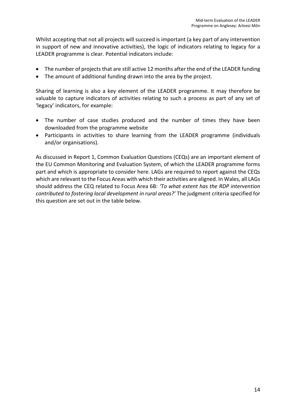Whilst accepting that not all projects will succeed is important (a key part of any intervention in support of new and innovative activities), the logic of indicators relating to legacy for a LEADER programme is clear. Potential indicators include:

- The number of projects that are still active 12 months after the end of the LEADER funding
- The amount of additional funding drawn into the area by the project.

Sharing of learning is also a key element of the LEADER programme. It may therefore be valuable to capture indicators of activities relating to such a process as part of any set of 'legacy' indicators, for example:

- The number of case studies produced and the number of times they have been downloaded from the programme website
- Participants in activities to share learning from the LEADER programme (individuals and/or organisations).

As discussed in Report 1, Common Evaluation Questions (CEQs) are an important element of the EU Common Monitoring and Evaluation System, of which the LEADER programme forms part and which is appropriate to consider here. LAGs are required to report against the CEQs which are relevant to the Focus Areas with which their activities are aligned. In Wales, all LAGs should address the CEQ related to Focus Area 6B: *'To what extent has the RDP intervention contributed to fostering local development in rural areas?'* The judgment criteria specified for this question are set out in the table below.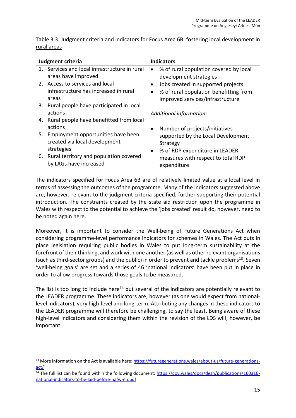| Table 3.3: Judgment criteria and indicators for Focus Area 6B: fostering local development in |  |  |  |
|-----------------------------------------------------------------------------------------------|--|--|--|
| rural areas                                                                                   |  |  |  |

| Judgment criteria                                                                    | <b>Indicators</b> |                                                                                                                  |
|--------------------------------------------------------------------------------------|-------------------|------------------------------------------------------------------------------------------------------------------|
| 1. Services and local infrastructure in rural<br>areas have improved                 | $\bullet$         | % of rural population covered by local<br>development strategies                                                 |
| 2. Access to services and local<br>infrastructure has increased in rural<br>areas    |                   | Jobs created in supported projects<br>% of rural population benefitting from<br>improved services/infrastructure |
| 3. Rural people have participated in local<br>actions                                |                   | Additional information:                                                                                          |
| 4. Rural people have benefitted from local<br>actions                                |                   | Number of projects/initiatives                                                                                   |
| 5. Employment opportunities have been<br>created via local development<br>strategies |                   | supported by the Local Development<br>Strategy                                                                   |
| 6. Rural territory and population covered<br>by LAGs have increased                  |                   | % of RDP expenditure in LEADER<br>measures with respect to total RDP<br>expenditure                              |

The indicators specified for Focus Area 6B are of relatively limited value at a local level in terms of assessing the outcomes of the programme. Many of the indicators suggested above are, however, relevant to the judgment criteria specified, further supporting their potential introduction. The constraints created by the state aid restriction upon the programme in Wales with respect to the potential to achieve the 'jobs created' result do, however, need to be noted again here.

Moreover, it is important to consider the Well-being of Future Generations Act when considering programme-level performance indicators for schemes in Wales. The Act puts in place legislation requiring public bodies in Wales to put long-term sustainability at the forefront of their thinking, and work with one another (as well as other relevant organisations (such as third-sector groups) and the public) in order to prevent and tackle problems<sup>13</sup>. Seven 'well-being goals' are set and a series of 46 'national indicators' have been put in place in order to allow progress towards those goals to be measured.

The list is too long to include here<sup>14</sup> but several of the indicators are potentially relevant to the LEADER programme. These indicators are, however (as one would expect from nationallevel indicators), very high-level and long-term. Attributing any changes in these indicators to the LEADER programme will therefore be challenging, to say the least. Being aware of these high-level indicators and considering them within the revision of the LDS will, however, be important.

<sup>&</sup>lt;sup>13</sup> More information on the Act is available here: [https://futuregenerations.wales/about-us/future-generations](https://futuregenerations.wales/about-us/future-generations-act/)[act/](https://futuregenerations.wales/about-us/future-generations-act/)

<sup>&</sup>lt;sup>14</sup> The full list can be found within the following document: [https://gov.wales/docs/desh/publications/160316](https://gov.wales/docs/desh/publications/160316-national-indicators-to-be-laid-before-nafw-en.pdf) [national-indicators-to-be-laid-before-nafw-en.pdf](https://gov.wales/docs/desh/publications/160316-national-indicators-to-be-laid-before-nafw-en.pdf)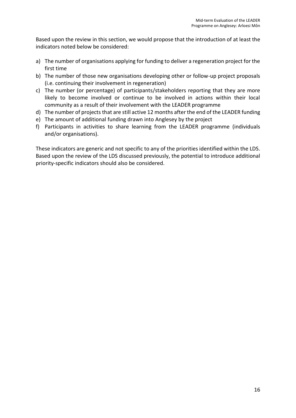Based upon the review in this section, we would propose that the introduction of at least the indicators noted below be considered:

- a) The number of organisations applying for funding to deliver a regeneration project for the first time
- b) The number of those new organisations developing other or follow-up project proposals (i.e. continuing their involvement in regeneration)
- c) The number (or percentage) of participants/stakeholders reporting that they are more likely to become involved or continue to be involved in actions within their local community as a result of their involvement with the LEADER programme
- d) The number of projects that are still active 12 months after the end of the LEADER funding
- e) The amount of additional funding drawn into Anglesey by the project
- f) Participants in activities to share learning from the LEADER programme (individuals and/or organisations).

These indicators are generic and not specific to any of the priorities identified within the LDS. Based upon the review of the LDS discussed previously, the potential to introduce additional priority-specific indicators should also be considered.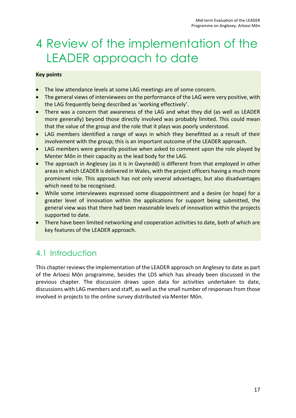# <span id="page-25-0"></span>4 Review of the implementation of the LEADER approach to date

## **Key points**

- The low attendance levels at some LAG meetings are of some concern.
- The general views of interviewees on the performance of the LAG were very positive, with the LAG frequently being described as 'working effectively'.
- There was a concern that awareness of the LAG and what they did (as well as LEADER more generally) beyond those directly involved was probably limited. This could mean that the value of the group and the role that it plays was poorly understood.
- LAG members identified a range of ways in which they benefitted as a result of their involvement with the group; this is an important outcome of the LEADER approach.
- LAG members were generally positive when asked to comment upon the role played by Menter Môn in their capacity as the lead body for the LAG.
- The approach in Anglesey (as it is in Gwynedd) is different from that employed in other areas in which LEADER is delivered in Wales, with the project officers having a much more prominent role. This approach has not only several advantages, but also disadvantages which need to be recognised.
- While some interviewees expressed some disappointment and a desire (or hope) for a greater level of innovation within the applications for support being submitted, the general view was that there had been reasonable levels of innovation within the projects supported to date.
- There have been limited networking and cooperation activities to date, both of which are key features of the LEADER approach.

# 4.1 Introduction

This chapter reviewsthe implementation of the LEADER approach on Anglesey to date as part of the Arloesi Môn programme, besides the LDS which has already been discussed in the previous chapter. The discussion draws upon data for activities undertaken to date, discussions with LAG members and staff, as well as the small number of responses from those involved in projects to the online survey distributed via Menter Môn.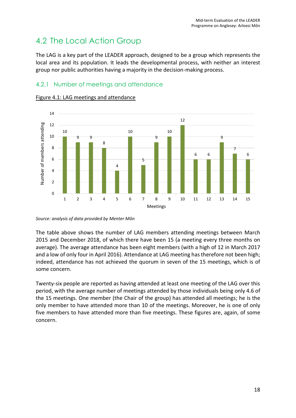# 4.2 The Local Action Group

The LAG is a key part of the LEADER approach, designed to be a group which represents the local area and its population. It leads the developmental process, with neither an interest group nor public authorities having a majority in the decision-making process.

## 4.2.1 Number of meetings and attendance



Figure 4.1: LAG meetings and attendance

*Source: analysis of data provided by Menter Môn*

The table above shows the number of LAG members attending meetings between March 2015 and December 2018, of which there have been 15 (a meeting every three months on average). The average attendance has been eight members (with a high of 12 in March 2017 and a low of only four in April 2016). Attendance at LAG meeting has therefore not been high; indeed, attendance has not achieved the quorum in seven of the 15 meetings, which is of some concern.

Twenty-six people are reported as having attended at least one meeting of the LAG over this period, with the average number of meetings attended by those individuals being only 4.6 of the 15 meetings. One member (the Chair of the group) has attended all meetings; he is the only member to have attended more than 10 of the meetings. Moreover, he is one of only five members to have attended more than five meetings. These figures are, again, of some concern.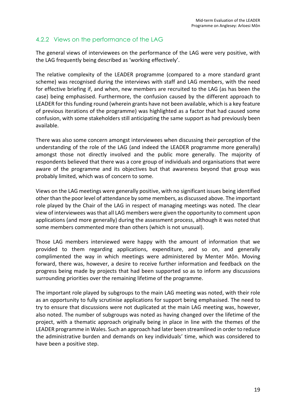## 4.2.2 Views on the performance of the LAG

The general views of interviewees on the performance of the LAG were very positive, with the LAG frequently being described as 'working effectively'.

The relative complexity of the LEADER programme (compared to a more standard grant scheme) was recognised during the interviews with staff and LAG members, with the need for effective briefing if, and when, new members are recruited to the LAG (as has been the case) being emphasised. Furthermore, the confusion caused by the different approach to LEADER for this funding round (wherein grants have not been available, which is a key feature of previous iterations of the programme) was highlighted as a factor that had caused some confusion, with some stakeholders still anticipating the same support as had previously been available.

There was also some concern amongst interviewees when discussing their perception of the understanding of the role of the LAG (and indeed the LEADER programme more generally) amongst those not directly involved and the public more generally. The majority of respondents believed that there was a core group of individuals and organisations that were aware of the programme and its objectives but that awareness beyond that group was probably limited, which was of concern to some.

Views on the LAG meetings were generally positive, with no significant issues being identified other than the poor level of attendance by some members, as discussed above. The important role played by the Chair of the LAG in respect of managing meetings was noted. The clear view of interviewees was that all LAG members were given the opportunity to comment upon applications (and more generally) during the assessment process, although it was noted that some members commented more than others (which is not unusual).

Those LAG members interviewed were happy with the amount of information that we provided to them regarding applications, expenditure, and so on, and generally complimented the way in which meetings were administered by Menter Môn. Moving forward, there was, however, a desire to receive further information and feedback on the progress being made by projects that had been supported so as to inform any discussions surrounding priorities over the remaining lifetime of the programme.

The important role played by subgroups to the main LAG meeting was noted, with their role as an opportunity to fully scrutinise applications for support being emphasised. The need to try to ensure that discussions were not duplicated at the main LAG meeting was, however, also noted. The number of subgroups was noted as having changed over the lifetime of the project, with a thematic approach originally being in place in line with the themes of the LEADER programme in Wales. Such an approach had later been streamlined in order to reduce the administrative burden and demands on key individuals' time, which was considered to have been a positive step.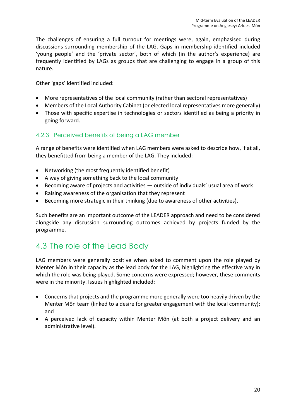The challenges of ensuring a full turnout for meetings were, again, emphasised during discussions surrounding membership of the LAG. Gaps in membership identified included 'young people' and the 'private sector', both of which (in the author's experience) are frequently identified by LAGs as groups that are challenging to engage in a group of this nature.

Other 'gaps' identified included:

- More representatives of the local community (rather than sectoral representatives)
- Members of the Local Authority Cabinet (or elected local representatives more generally)
- Those with specific expertise in technologies or sectors identified as being a priority in going forward.

## 4.2.3 Perceived benefits of being a LAG member

A range of benefits were identified when LAG members were asked to describe how, if at all, they benefitted from being a member of the LAG. They included:

- Networking (the most frequently identified benefit)
- A way of giving something back to the local community
- Becoming aware of projects and activities outside of individuals' usual area of work
- Raising awareness of the organisation that they represent
- Becoming more strategic in their thinking (due to awareness of other activities).

Such benefits are an important outcome of the LEADER approach and need to be considered alongside any discussion surrounding outcomes achieved by projects funded by the programme.

## 4.3 The role of the Lead Body

LAG members were generally positive when asked to comment upon the role played by Menter Môn in their capacity as the lead body for the LAG, highlighting the effective way in which the role was being played. Some concerns were expressed; however, these comments were in the minority. Issues highlighted included:

- Concerns that projects and the programme more generally were too heavily driven by the Menter Môn team (linked to a desire for greater engagement with the local community); and
- A perceived lack of capacity within Menter Môn (at both a project delivery and an administrative level).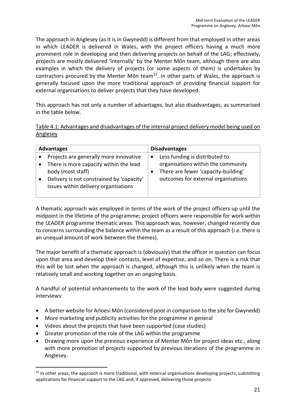The approach in Anglesey (as it is in Gwynedd) is different from that employed in other areas in which LEADER is delivered in Wales, with the project officers having a much more prominent role in developing and then delivering projects on behalf of the LAG; effectively, projects are mostly delivered 'internally' by the Menter Môn team, although there are also examples in which the delivery of projects (or some aspects of them) is undertaken by contractors procured by the Menter Môn team<sup>15</sup>. In other parts of Wales, the approach is generally focused upon the more traditional approach of providing financial support for external organisations to deliver projects that they have developed.

This approach has not only a number of advantages, but also disadvantages, as summarised in the table below.

| Table 4.1: Advantages and disadvantages of the internal project delivery model being used on |  |
|----------------------------------------------------------------------------------------------|--|
| Anglesey                                                                                     |  |

| <b>Advantages</b>                         | <b>Disadvantages</b>                |
|-------------------------------------------|-------------------------------------|
| Projects are generally more innovative    | Less funding is distributed to      |
| There is more capacity within the lead    | $\bullet$                           |
| body (most staff)                         | organisations within the community  |
| Delivery is not constrained by 'capacity' | There are fewer 'capacity-building' |
| issues within delivery organisations      | outcomes for external organisations |

A thematic approach was employed in terms of the work of the project officers up until the midpoint in the lifetime of the programme; project officers were responsible for work within the LEADER programme thematic areas. This approach was, however, changed recently due to concerns surrounding the balance within the team as a result of this approach (i.e. there is an unequal amount of work between the themes).

The major benefit of a thematic approach is (obviously) that the officer in question can focus upon that area and develop their contacts, level of expertise, and so on. There is a risk that this will be lost when the approach is changed, although this is unlikely when the team is relatively small and working together on an ongoing basis.

A handful of potential enhancements to the work of the lead body were suggested during interviews:

- A better website for Arloesi Môn (considered poor in comparison to the site for Gwynedd)
- More marketing and publicity activities for the programme in general
- Videos about the projects that have been supported (case studies)
- Greater promotion of the role of the LAG within the programme
- Drawing more upon the previous experience of Menter Môn for project ideas etc., along with more promotion of projects supported by previous iterations of the programme in Anglesey.

<sup>&</sup>lt;sup>15</sup> In other areas, the approach is more traditional, with external organisations developing projects, submitting applications for financial support to the LAG and, if approved, delivering those projects.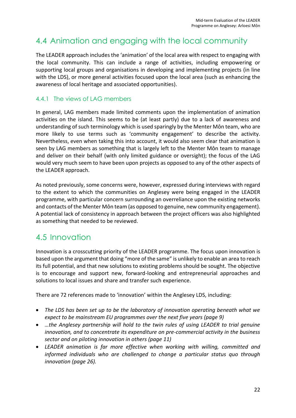## 4.4 Animation and engaging with the local community

The LEADER approach includes the 'animation' of the local area with respect to engaging with the local community. This can include a range of activities, including empowering or supporting local groups and organisations in developing and implementing projects (in line with the LDS), or more general activities focused upon the local area (such as enhancing the awareness of local heritage and associated opportunities).

## 4.4.1 The views of LAG members

In general, LAG members made limited comments upon the implementation of animation activities on the island. This seems to be (at least partly) due to a lack of awareness and understanding of such terminology which is used sparingly by the Menter Môn team, who are more likely to use terms such as 'community engagement' to describe the activity. Nevertheless, even when taking this into account, it would also seem clear that animation is seen by LAG members as something that is largely left to the Menter Môn team to manage and deliver on their behalf (with only limited guidance or oversight); the focus of the LAG would very much seem to have been upon projects as opposed to any of the other aspects of the LEADER approach.

As noted previously, some concerns were, however, expressed during interviews with regard to the extent to which the communities on Anglesey were being engaged in the LEADER programme, with particular concern surrounding an overreliance upon the existing networks and contacts of the Menter Môn team (as opposed to genuine, new community engagement). A potential lack of consistency in approach between the project officers was also highlighted as something that needed to be reviewed.

## 4.5 Innovation

Innovation is a crosscutting priority of the LEADER programme. The focus upon innovation is based upon the argument that doing "more of the same" is unlikely to enable an area to reach its full potential, and that new solutions to existing problems should be sought. The objective is to encourage and support new, forward-looking and entrepreneurial approaches and solutions to local issues and share and transfer such experience.

There are 72 references made to 'innovation' within the Anglesey LDS, including:

- *The LDS has been set up to be the laboratory of innovation operating beneath what we expect to be mainstream EU programmes over the next five years (page 9)*
- *…the Anglesey partnership will hold to the twin rules of using LEADER to trial genuine innovation, and to concentrate its expenditure on pre-commercial activity in the business sector and on piloting innovation in others (page 11)*
- *LEADER animation is far more effective when working with willing, committed and informed individuals who are challenged to change a particular status quo through innovation (page 26).*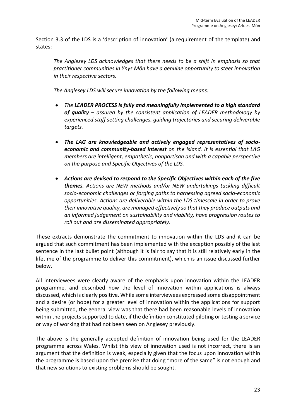Section 3.3 of the LDS is a 'description of innovation' (a requirement of the template) and states:

*The Anglesey LDS acknowledges that there needs to be a shift in emphasis so that practitioner communities in Ynys Môn have a genuine opportunity to steer innovation in their respective sectors.*

*The Anglesey LDS will secure innovation by the following means:*

- *The LEADER PROCESS is fully and meaningfully implemented to a high standard of quality – assured by the consistent application of LEADER methodology by experienced staff setting challenges, guiding trajectories and securing deliverable targets.*
- *The LAG are knowledgeable and actively engaged representatives of socioeconomic and community-based interest on the island. It is essential that LAG members are intelligent, empathetic, nonpartisan and with a capable perspective on the purpose and Specific Objectives of the LDS.*
- *Actions are devised to respond to the Specific Objectives within each of the five themes. Actions are NEW methods and/or NEW undertakings tackling difficult socio-economic challenges or forging paths to harnessing agreed socio-economic opportunities. Actions are deliverable within the LDS timescale in order to prove their innovative quality, are managed effectively so that they produce outputs and an informed judgement on sustainability and viability, have progression routes to roll out and are disseminated appropriately.*

These extracts demonstrate the commitment to innovation within the LDS and it can be argued that such commitment has been implemented with the exception possibly of the last sentence in the last bullet point (although it is fair to say that it is still relatively early in the lifetime of the programme to deliver this commitment), which is an issue discussed further below.

All interviewees were clearly aware of the emphasis upon innovation within the LEADER programme, and described how the level of innovation within applications is always discussed, which is clearly positive. While some interviewees expressed some disappointment and a desire (or hope) for a greater level of innovation within the applications for support being submitted, the general view was that there had been reasonable levels of innovation within the projects supported to date, if the definition constituted piloting or testing a service or way of working that had not been seen on Anglesey previously.

The above is the generally accepted definition of innovation being used for the LEADER programme across Wales. Whilst this view of innovation used is not incorrect, there is an argument that the definition is weak, especially given that the focus upon innovation within the programme is based upon the premise that doing "more of the same" is not enough and that new solutions to existing problems should be sought.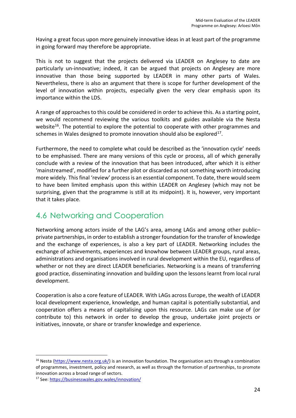Having a great focus upon more genuinely innovative ideas in at least part of the programme in going forward may therefore be appropriate.

This is not to suggest that the projects delivered via LEADER on Anglesey to date are particularly un-innovative; indeed, it can be argued that projects on Anglesey are more innovative than those being supported by LEADER in many other parts of Wales. Nevertheless, there is also an argument that there is scope for further development of the level of innovation within projects, especially given the very clear emphasis upon its importance within the LDS.

A range of approaches to this could be considered in order to achieve this. As a starting point, we would recommend reviewing the various toolkits and guides available via the Nesta website<sup>16</sup>. The potential to explore the potential to cooperate with other programmes and schemes in Wales designed to promote innovation should also be explored $^{17}$ .

Furthermore, the need to complete what could be described as the 'innovation cycle' needs to be emphasised. There are many versions of this cycle or process, all of which generally conclude with a review of the innovation that has been introduced, after which it is either 'mainstreamed', modified for a further pilot or discarded as not something worth introducing more widely. This final 'review' process is an essential component. To date, there would seem to have been limited emphasis upon this within LEADER on Anglesey (which may not be surprising, given that the programme is still at its midpoint). It is, however, very important that it takes place.

## 4.6 Networking and Cooperation

Networking among actors inside of the LAG's area, among LAGs and among other public– private partnerships, in order to establish a stronger foundation for the transfer of knowledge and the exchange of experiences, is also a key part of LEADER. Networking includes the exchange of achievements, experiences and knowhow between LEADER groups, rural areas, administrations and organisations involved in rural development within the EU, regardless of whether or not they are direct LEADER beneficiaries. Networking is a means of transferring good practice, disseminating innovation and building upon the lessons learnt from local rural development.

Cooperation is also a core feature of LEADER. With LAGs across Europe, the wealth of LEADER local development experience, knowledge, and human capital is potentially substantial, and cooperation offers a means of capitalising upon this resource. LAGs can make use of (or contribute to) this network in order to develop the group, undertake joint projects or initiatives, innovate, or share or transfer knowledge and experience.

<sup>&</sup>lt;sup>16</sup> Nesta [\(https://www.nesta.org.uk/\)](https://www.nesta.org.uk/) is an innovation foundation. The organisation acts through a combination of programmes, investment, policy and research, as well as through the formation of partnerships, to promote innovation across a broad range of sectors.

<sup>17</sup> See: <https://businesswales.gov.wales/innovation/>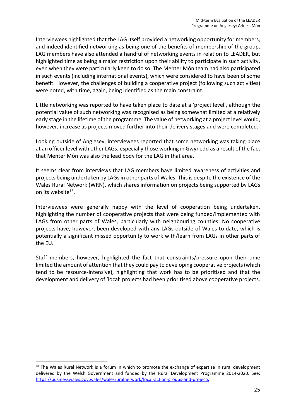Interviewees highlighted that the LAG itself provided a networking opportunity for members, and indeed identified networking as being one of the benefits of membership of the group. LAG members have also attended a handful of networking events in relation to LEADER, but highlighted time as being a major restriction upon their ability to participate in such activity, even when they were particularly keen to do so. The Menter Môn team had also participated in such events (including international events), which were considered to have been of some benefit. However, the challenges of building a cooperative project (following such activities) were noted, with time, again, being identified as the main constraint.

Little networking was reported to have taken place to date at a 'project level', although the potential value of such networking was recognised as being somewhat limited at a relatively early stage in the lifetime of the programme. The value of networking at a project level would, however, increase as projects moved further into their delivery stages and were completed.

Looking outside of Anglesey, interviewees reported that some networking was taking place at an officer level with other LAGs, especially those working in Gwynedd as a result of the fact that Menter Môn was also the lead body for the LAG in that area.

It seems clear from interviews that LAG members have limited awareness of activities and projects being undertaken by LAGs in other parts of Wales. This is despite the existence of the Wales Rural Network (WRN), which shares information on projects being supported by LAGs on its website<sup>18</sup>.

Interviewees were generally happy with the level of cooperation being undertaken, highlighting the number of cooperative projects that were being funded/implemented with LAGs from other parts of Wales, particularly with neighbouring counties. No cooperative projects have, however, been developed with any LAGs outside of Wales to date, which is potentially a significant missed opportunity to work with/learn from LAGs in other parts of the EU.

Staff members, however, highlighted the fact that constraints/pressure upon their time limited the amount of attention that they could pay to developing cooperative projects (which tend to be resource-intensive), highlighting that work has to be prioritised and that the development and delivery of 'local' projects had been prioritised above cooperative projects.

<sup>&</sup>lt;sup>18</sup> The Wales Rural Network is a forum in which to promote the exchange of expertise in rural development delivered by the Welsh Government and funded by the Rural Development Programme 2014-2020. See: <https://businesswales.gov.wales/walesruralnetwork/local-action-groups-and-projects>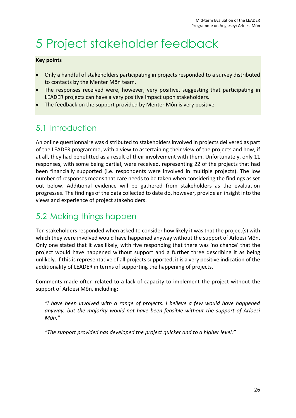# <span id="page-34-0"></span>5 Project stakeholder feedback

#### **Key points**

- Only a handful of stakeholders participating in projects responded to a survey distributed to contacts by the Menter Môn team.
- The responses received were, however, very positive, suggesting that participating in LEADER projects can have a very positive impact upon stakeholders.
- The feedback on the support provided by Menter Môn is very positive.

# 5.1 Introduction

An online questionnaire was distributed to stakeholders involved in projects delivered as part of the LEADER programme, with a view to ascertaining their view of the projects and how, if at all, they had benefitted as a result of their involvement with them. Unfortunately, only 11 responses, with some being partial, were received, representing 22 of the projects that had been financially supported (i.e. respondents were involved in multiple projects). The low number of responses means that care needs to be taken when considering the findings as set out below. Additional evidence will be gathered from stakeholders as the evaluation progresses. The findings of the data collected to date do, however, provide an insight into the views and experience of project stakeholders.

## 5.2 Making things happen

Ten stakeholders responded when asked to consider how likely it was that the project(s) with which they were involved would have happened anyway without the support of Arloesi Môn. Only one stated that it was likely, with five responding that there was 'no chance' that the project would have happened without support and a further three describing it as being unlikely. If this is representative of all projects supported, it is a very positive indication of the additionality of LEADER in terms of supporting the happening of projects.

Comments made often related to a lack of capacity to implement the project without the support of Arloesi Môn, including:

*"I have been involved with a range of projects. I believe a few would have happened anyway, but the majority would not have been feasible without the support of Arloesi Môn."*

*"The support provided has developed the project quicker and to a higher level."*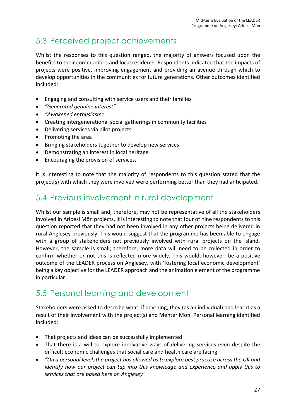# 5.3 Perceived project achievements

Whilst the responses to this question ranged, the majority of answers focused upon the benefits to their communities and local residents. Respondents indicated that the impacts of projects were positive, improving engagement and providing an avenue through which to develop opportunities in the communities for future generations. Other outcomes identified included:

- Engaging and consulting with service users and their families
- *"Generated genuine interest"*
- *"Awakened enthusiasm"*
- Creating intergenerational social gatherings in community facilities
- Delivering services via pilot projects
- Promoting the area
- Bringing stakeholders together to develop new services
- Demonstrating an interest in local heritage
- Encouraging the provision of services.

It is interesting to note that the majority of respondents to this question stated that the project(s) with which they were involved were performing better than they had anticipated.

## 5.4 Previous involvement in rural development

Whilst our sample is small and, therefore, may not be representative of all the stakeholders involved in Arloesi Môn projects, it is interesting to note that four of nine respondents to this question reported that they had not been involved in any other projects being delivered in rural Anglesey previously. This would suggest that the programme has been able to engage with a group of stakeholders not previously involved with rural projects on the island. However, the sample is small; therefore, more data will need to be collected in order to confirm whether or not this is reflected more widely. This would, however, be a positive outcome of the LEADER process on Anglesey, with 'fostering local economic development' being a key objective for the LEADER approach and the animation element of the programme in particular.

## 5.5 Personal learning and development

Stakeholders were asked to describe what, if anything, they (as an individual) had learnt as a result of their involvement with the project(s) and Menter Môn. Personal learning identified included:

- That projects and ideas can be successfully implemented
- That there is a will to explore innovative ways of delivering services even despite the difficult economic challenges that social care and health care are facing
- *"On a personal level, the project has allowed us to explore best practice across the UK and identify how our project can tap into this knowledge and experience and apply this to services that are based here on Anglesey"*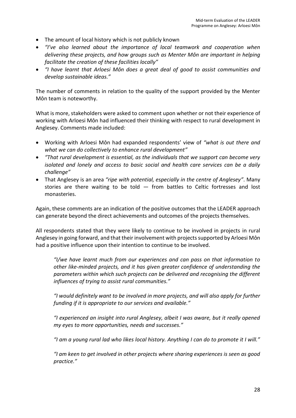- The amount of local history which is not publicly known
- *"I've also learned about the importance of local teamwork and cooperation when delivering these projects, and how groups such as Menter Môn are important in helping facilitate the creation of these facilities locally"*
- *"I have learnt that Arloesi Môn does a great deal of good to assist communities and develop sustainable ideas."*

The number of comments in relation to the quality of the support provided by the Menter Môn team is noteworthy.

What is more, stakeholders were asked to comment upon whether or not their experience of working with Arloesi Môn had influenced their thinking with respect to rural development in Anglesey. Comments made included:

- Working with Arloesi Môn had expanded respondents' view of *"what is out there and what we can do collectively to enhance rural development"*
- *"That rural development is essential, as the individuals that we support can become very isolated and lonely and access to basic social and health care services can be a daily challenge"*
- That Anglesey is an area *"ripe with potential, especially in the centre of Anglesey"*. Many stories are there waiting to be told — from battles to Celtic fortresses and lost monasteries.

Again, these comments are an indication of the positive outcomes that the LEADER approach can generate beyond the direct achievements and outcomes of the projects themselves.

All respondents stated that they were likely to continue to be involved in projects in rural Anglesey in going forward, and that their involvement with projects supported by Arloesi Môn had a positive influence upon their intention to continue to be involved.

*"I/we have learnt much from our experiences and can pass on that information to other like-minded projects, and it has given greater confidence of understanding the parameters within which such projects can be delivered and recognising the different influences of trying to assist rural communities."*

*"I would definitely want to be involved in more projects, and will also apply for further funding if it is appropriate to our services and available."*

*"I experienced an insight into rural Anglesey, albeit I was aware, but it really opened my eyes to more opportunities, needs and successes."*

*"I am a young rural lad who likes local history. Anything I can do to promote it I will."*

*"I am keen to get involved in other projects where sharing experiences is seen as good practice."*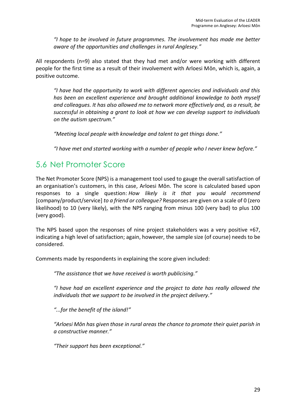*"I hope to be involved in future programmes. The involvement has made me better aware of the opportunities and challenges in rural Anglesey."*

All respondents (n=9) also stated that they had met and/or were working with different people for the first time as a result of their involvement with Arloesi Môn, which is, again, a positive outcome.

*"I have had the opportunity to work with different agencies and individuals and this has been an excellent experience and brought additional knowledge to both myself and colleagues. It has also allowed me to network more effectively and, as a result, be successful in obtaining a grant to look at how we can develop support to individuals on the autism spectrum."*

*"Meeting local people with knowledge and talent to get things done."*

*"I have met and started working with a number of people who I never knew before."*

## 5.6 Net Promoter Score

The Net Promoter Score (NPS) is a management tool used to gauge the overall satisfaction of an organisation's customers, in this case, Arloesi Môn. The score is calculated based upon responses to a single question: *How likely is it that you would recommend*  [company/product/service] *to a friend or colleague?* Responses are given on a scale of 0 (zero likelihood) to 10 (very likely), with the NPS ranging from minus 100 (very bad) to plus 100 (very good).

The NPS based upon the responses of nine project stakeholders was a very positive +67, indicating a high level of satisfaction; again, however, the sample size (of course) needs to be considered.

Comments made by respondents in explaining the score given included:

*"The assistance that we have received is worth publicising."*

*"I have had an excellent experience and the project to date has really allowed the individuals that we support to be involved in the project delivery."*

*"...for the benefit of the island!"*

*"Arloesi Môn has given those in rural areas the chance to promote their quiet parish in a constructive manner."*

*"Their support has been exceptional."*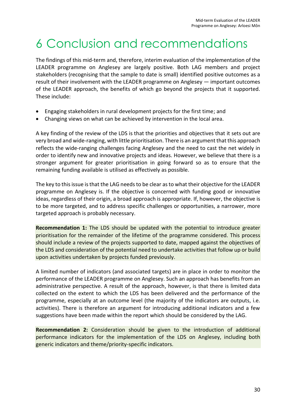# <span id="page-38-0"></span>6 Conclusion and recommendations

The findings of this mid-term and, therefore, interim evaluation of the implementation of the LEADER programme on Anglesey are largely positive. Both LAG members and project stakeholders (recognising that the sample to date is small) identified positive outcomes as a result of their involvement with the LEADER programme on Anglesey — important outcomes of the LEADER approach, the benefits of which go beyond the projects that it supported. These include:

- Engaging stakeholders in rural development projects for the first time; and
- Changing views on what can be achieved by intervention in the local area.

A key finding of the review of the LDS is that the priorities and objectives that it sets out are very broad and wide-ranging, with little prioritisation. There is an argument that this approach reflects the wide-ranging challenges facing Anglesey and the need to cast the net widely in order to identify new and innovative projects and ideas. However, we believe that there is a stronger argument for greater prioritisation in going forward so as to ensure that the remaining funding available is utilised as effectively as possible.

The key to this issue is that the LAG needs to be clear as to what their objective for the LEADER programme on Anglesey is. If the objective is concerned with funding good or innovative ideas, regardless of their origin, a broad approach is appropriate. If, however, the objective is to be more targeted, and to address specific challenges or opportunities, a narrower, more targeted approach is probably necessary.

**Recommendation 1:** The LDS should be updated with the potential to introduce greater prioritisation for the remainder of the lifetime of the programme considered. This process should include a review of the projects supported to date, mapped against the objectives of the LDS and consideration of the potential need to undertake activities that follow up or build upon activities undertaken by projects funded previously.

A limited number of indicators (and associated targets) are in place in order to monitor the performance of the LEADER programme on Anglesey. Such an approach has benefits from an administrative perspective. A result of the approach, however, is that there is limited data collected on the extent to which the LDS has been delivered and the performance of the programme, especially at an outcome level (the majority of the indicators are outputs, i.e. activities). There is therefore an argument for introducing additional indicators and a few suggestions have been made within the report which should be considered by the LAG.

**Recommendation 2:** Consideration should be given to the introduction of additional performance indicators for the implementation of the LDS on Anglesey, including both generic indicators and theme/priority-specific indicators.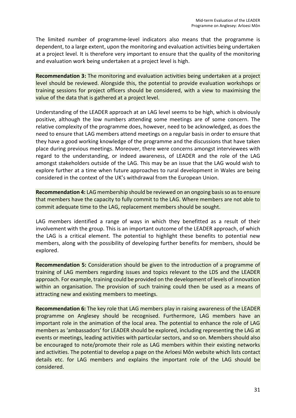The limited number of programme-level indicators also means that the programme is dependent, to a large extent, upon the monitoring and evaluation activities being undertaken at a project level. It is therefore very important to ensure that the quality of the monitoring and evaluation work being undertaken at a project level is high.

**Recommendation 3:** The monitoring and evaluation activities being undertaken at a project level should be reviewed. Alongside this, the potential to provide evaluation workshops or training sessions for project officers should be considered, with a view to maximising the value of the data that is gathered at a project level.

Understanding of the LEADER approach at an LAG level seems to be high, which is obviously positive, although the low numbers attending some meetings are of some concern. The relative complexity of the programme does, however, need to be acknowledged, as does the need to ensure that LAG members attend meetings on a regular basis in order to ensure that they have a good working knowledge of the programme and the discussions that have taken place during previous meetings. Moreover, there were concerns amongst interviewees with regard to the understanding, or indeed awareness, of LEADER and the role of the LAG amongst stakeholders outside of the LAG. This may be an issue that the LAG would wish to explore further at a time when future approaches to rural development in Wales are being considered in the context of the UK's withdrawal from the European Union.

**Recommendation 4:** LAG membership should be reviewed on an ongoing basis so as to ensure that members have the capacity to fully commit to the LAG. Where members are not able to commit adequate time to the LAG, replacement members should be sought.

LAG members identified a range of ways in which they benefitted as a result of their involvement with the group. This is an important outcome of the LEADER approach, of which the LAG is a critical element. The potential to highlight these benefits to potential new members, along with the possibility of developing further benefits for members, should be explored.

**Recommendation 5:** Consideration should be given to the introduction of a programme of training of LAG members regarding issues and topics relevant to the LDS and the LEADER approach. For example, training could be provided on the development of levels of innovation within an organisation. The provision of such training could then be used as a means of attracting new and existing members to meetings.

**Recommendation 6:** The key role that LAG members play in raising awareness of the LEADER programme on Anglesey should be recognised. Furthermore, LAG members have an important role in the animation of the local area. The potential to enhance the role of LAG members as 'ambassadors' for LEADER should be explored, including representing the LAG at events or meetings, leading activities with particular sectors, and so on. Members should also be encouraged to note/promote their role as LAG members within their existing networks and activities. The potential to develop a page on the Arloesi Môn website which lists contact details etc. for LAG members and explains the important role of the LAG should be considered.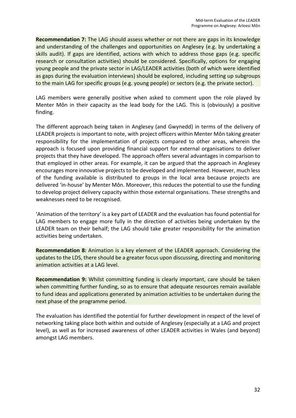**Recommendation 7:** The LAG should assess whether or not there are gaps in its knowledge and understanding of the challenges and opportunities on Anglesey (e.g. by undertaking a skills audit). If gaps are identified, actions with which to address those gaps (e.g. specific research or consultation activities) should be considered. Specifically, options for engaging young people and the private sector in LAG/LEADER activities (both of which were identified as gaps during the evaluation interviews) should be explored, including setting up subgroups to the main LAG for specific groups (e.g. young people) or sectors (e.g. the private sector).

LAG members were generally positive when asked to comment upon the role played by Menter Môn in their capacity as the lead body for the LAG. This is (obviously) a positive finding.

The different approach being taken in Anglesey (and Gwynedd) in terms of the delivery of LEADER projects is important to note, with project officers within Menter Môn taking greater responsibility for the implementation of projects compared to other areas, wherein the approach is focused upon providing financial support for external organisations to deliver projects that they have developed. The approach offers several advantages in comparison to that employed in other areas. For example, it can be argued that the approach in Anglesey encourages more innovative projects to be developed and implemented. However, much less of the funding available is distributed to groups in the local area because projects are delivered 'in-house' by Menter Môn. Moreover, this reduces the potential to use the funding to develop project delivery capacity within those external organisations. These strengths and weaknesses need to be recognised.

'Animation of the territory' is a key part of LEADER and the evaluation has found potential for LAG members to engage more fully in the direction of activities being undertaken by the LEADER team on their behalf; the LAG should take greater responsibility for the animation activities being undertaken.

**Recommendation 8:** Animation is a key element of the LEADER approach. Considering the updates to the LDS, there should be a greater focus upon discussing, directing and monitoring animation activities at a LAG level.

**Recommendation 9:** Whilst committing funding is clearly important, care should be taken when committing further funding, so as to ensure that adequate resources remain available to fund ideas and applications generated by animation activities to be undertaken during the next phase of the programme period.

The evaluation has identified the potential for further development in respect of the level of networking taking place both within and outside of Anglesey (especially at a LAG and project level), as well as for increased awareness of other LEADER activities in Wales (and beyond) amongst LAG members.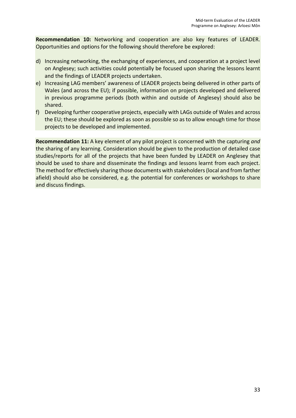**Recommendation 10:** Networking and cooperation are also key features of LEADER. Opportunities and options for the following should therefore be explored:

- d) Increasing networking, the exchanging of experiences, and cooperation at a project level on Anglesey; such activities could potentially be focused upon sharing the lessons learnt and the findings of LEADER projects undertaken.
- e) Increasing LAG members' awareness of LEADER projects being delivered in other parts of Wales (and across the EU); if possible, information on projects developed and delivered in previous programme periods (both within and outside of Anglesey) should also be shared.
- f) Developing further cooperative projects, especially with LAGs outside of Wales and across the EU; these should be explored as soon as possible so as to allow enough time for those projects to be developed and implemented.

**Recommendation 11:** A key element of any pilot project is concerned with the capturing *and* the sharing of any learning. Consideration should be given to the production of detailed case studies/reports for all of the projects that have been funded by LEADER on Anglesey that should be used to share and disseminate the findings and lessons learnt from each project. The method for effectively sharing those documents with stakeholders (local and from farther afield) should also be considered, e.g. the potential for conferences or workshops to share and discuss findings.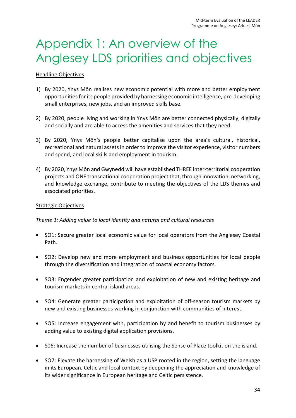# <span id="page-42-0"></span>Appendix 1: An overview of the Anglesey LDS priorities and objectives

#### Headline Objectives

- 1) By 2020, Ynys Môn realises new economic potential with more and better employment opportunities for its people provided by harnessing economic intelligence, pre-developing small enterprises, new jobs, and an improved skills base.
- 2) By 2020, people living and working in Ynys Môn are better connected physically, digitally and socially and are able to access the amenities and services that they need.
- 3) By 2020, Ynys Môn's people better capitalise upon the area's cultural, historical, recreational and natural assets in order to improve the visitor experience, visitor numbers and spend, and local skills and employment in tourism.
- 4) By 2020, Ynys Môn and Gwynedd will have established THREE inter-territorial cooperation projects and ONE transnational cooperation project that, through innovation, networking, and knowledge exchange, contribute to meeting the objectives of the LDS themes and associated priorities.

#### Strategic Objectives

### *Theme 1: Adding value to local identity and natural and cultural resources*

- SO1: Secure greater local economic value for local operators from the Anglesey Coastal Path.
- SO2: Develop new and more employment and business opportunities for local people through the diversification and integration of coastal economy factors.
- SO3: Engender greater participation and exploitation of new and existing heritage and tourism markets in central island areas.
- SO4: Generate greater participation and exploitation of off-season tourism markets by new and existing businesses working in conjunction with communities of interest.
- SO5: Increase engagement with, participation by and benefit to tourism businesses by adding value to existing digital application provisions.
- S06: Increase the number of businesses utilising the Sense of Place toolkit on the island.
- SO7: Elevate the harnessing of Welsh as a USP rooted in the region, setting the language in its European, Celtic and local context by deepening the appreciation and knowledge of its wider significance in European heritage and Celtic persistence.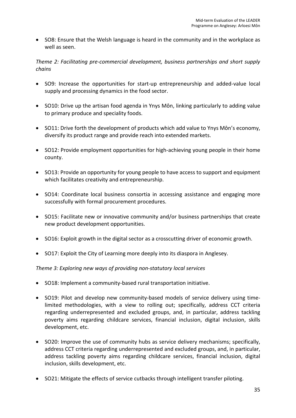• SO8: Ensure that the Welsh language is heard in the community and in the workplace as well as seen.

*Theme 2: Facilitating pre-commercial development, business partnerships and short supply chains*

- SO9: Increase the opportunities for start-up entrepreneurship and added-value local supply and processing dynamics in the food sector.
- SO10: Drive up the artisan food agenda in Ynys Môn, linking particularly to adding value to primary produce and speciality foods.
- SO11: Drive forth the development of products which add value to Ynys Môn's economy, diversify its product range and provide reach into extended markets.
- SO12: Provide employment opportunities for high-achieving young people in their home county.
- SO13: Provide an opportunity for young people to have access to support and equipment which facilitates creativity and entrepreneurship.
- SO14: Coordinate local business consortia in accessing assistance and engaging more successfully with formal procurement procedures.
- SO15: Facilitate new or innovative community and/or business partnerships that create new product development opportunities.
- SO16: Exploit growth in the digital sector as a crosscutting driver of economic growth.
- SO17: Exploit the City of Learning more deeply into its diaspora in Anglesey.

### *Theme 3: Exploring new ways of providing non-statutory local services*

- SO18: Implement a community-based rural transportation initiative.
- SO19: Pilot and develop new community-based models of service delivery using timelimited methodologies, with a view to rolling out; specifically, address CCT criteria regarding underrepresented and excluded groups, and, in particular, address tackling poverty aims regarding childcare services, financial inclusion, digital inclusion, skills development, etc.
- SO20: Improve the use of community hubs as service delivery mechanisms; specifically, address CCT criteria regarding underrepresented and excluded groups, and, in particular, address tackling poverty aims regarding childcare services, financial inclusion, digital inclusion, skills development, etc.
- SO21: Mitigate the effects of service cutbacks through intelligent transfer piloting.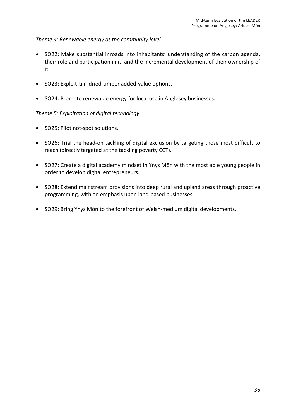## *Theme 4: Renewable energy at the community level*

- SO22: Make substantial inroads into inhabitants' understanding of the carbon agenda, their role and participation in it, and the incremental development of their ownership of it.
- SO23: Exploit kiln-dried-timber added-value options.
- SO24: Promote renewable energy for local use in Anglesey businesses.

### *Theme 5: Exploitation of digital technology*

- SO25: Pilot not-spot solutions.
- SO26: Trial the head-on tackling of digital exclusion by targeting those most difficult to reach (directly targeted at the tackling poverty CCT).
- SO27: Create a digital academy mindset in Ynys Môn with the most able young people in order to develop digital entrepreneurs.
- SO28: Extend mainstream provisions into deep rural and upland areas through proactive programming, with an emphasis upon land-based businesses.
- SO29: Bring Ynys Môn to the forefront of Welsh-medium digital developments.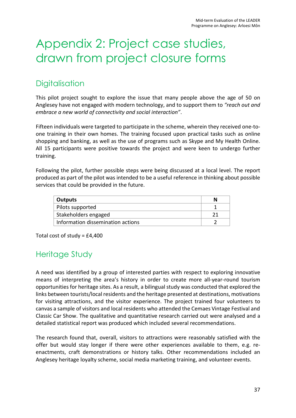# <span id="page-45-0"></span>Appendix 2: Project case studies, drawn from project closure forms

# **Digitalisation**

This pilot project sought to explore the issue that many people above the age of 50 on Anglesey have not engaged with modern technology, and to support them to *"reach out and embrace a new world of connectivity and social interaction"*.

Fifteen individuals were targeted to participate in the scheme, wherein they received one-toone training in their own homes. The training focused upon practical tasks such as online shopping and banking, as well as the use of programs such as Skype and My Health Online. All 15 participants were positive towards the project and were keen to undergo further training.

Following the pilot, further possible steps were being discussed at a local level. The report produced as part of the pilot was intended to be a useful reference in thinking about possible services that could be provided in the future.

| Outputs                           |  |
|-----------------------------------|--|
| Pilots supported                  |  |
| Stakeholders engaged              |  |
| Information dissemination actions |  |

Total cost of study = £4,400

# Heritage Study

A need was identified by a group of interested parties with respect to exploring innovative means of interpreting the area's history in order to create more all-year-round tourism opportunities for heritage sites. As a result, a bilingual study was conducted that explored the links between tourists/local residents and the heritage presented at destinations, motivations for visiting attractions, and the visitor experience. The project trained four volunteers to canvas a sample of visitors and local residents who attended the Cemaes Vintage Festival and Classic Car Show. The qualitative and quantitative research carried out were analysed and a detailed statistical report was produced which included several recommendations.

The research found that, overall, visitors to attractions were reasonably satisfied with the offer but would stay longer if there were other experiences available to them, e.g. reenactments, craft demonstrations or history talks. Other recommendations included an Anglesey heritage loyalty scheme, social media marketing training, and volunteer events.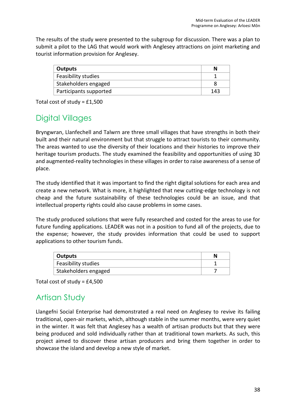The results of the study were presented to the subgroup for discussion. There was a plan to submit a pilot to the LAG that would work with Anglesey attractions on joint marketing and tourist information provision for Anglesey.

| <b>Outputs</b>         | N   |
|------------------------|-----|
| Feasibility studies    |     |
| Stakeholders engaged   |     |
| Participants supported | 143 |

Total cost of study = £1,500

# Digital Villages

Bryngwran, Llanfechell and Talwrn are three small villages that have strengths in both their built and their natural environment but that struggle to attract tourists to their community. The areas wanted to use the diversity of their locations and their histories to improve their heritage tourism products. The study examined the feasibility and opportunities of using 3D and augmented-reality technologies in these villages in order to raise awareness of a sense of place.

The study identified that it was important to find the right digital solutions for each area and create a new network. What is more, it highlighted that new cutting-edge technology is not cheap and the future sustainability of these technologies could be an issue, and that intellectual property rights could also cause problems in some cases.

The study produced solutions that were fully researched and costed for the areas to use for future funding applications. LEADER was not in a position to fund all of the projects, due to the expense; however, the study provides information that could be used to support applications to other tourism funds.

| Outputs              |  |
|----------------------|--|
| Feasibility studies  |  |
| Stakeholders engaged |  |

Total cost of study = £4,500

## Artisan Study

Llangefni Social Enterprise had demonstrated a real need on Anglesey to revive its failing traditional, open-air markets, which, although stable in the summer months, were very quiet in the winter. It was felt that Anglesey has a wealth of artisan products but that they were being produced and sold individually rather than at traditional town markets. As such, this project aimed to discover these artisan producers and bring them together in order to showcase the island and develop a new style of market.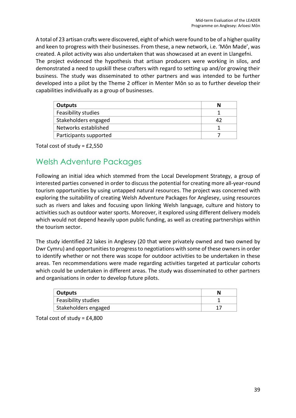A total of 23 artisan crafts were discovered, eight of which were found to be of a higher quality and keen to progress with their businesses. From these, a new network, i.e. 'Môn Made', was created. A pilot activity was also undertaken that was showcased at an event in Llangefni. The project evidenced the hypothesis that artisan producers were working in silos, and demonstrated a need to upskill these crafters with regard to setting up and/or growing their business. The study was disseminated to other partners and was intended to be further developed into a pilot by the Theme 2 officer in Menter Môn so as to further develop their capabilities individually as a group of businesses.

| Outputs                    | N |
|----------------------------|---|
| <b>Feasibility studies</b> |   |
| Stakeholders engaged       |   |
| Networks established       |   |
| Participants supported     |   |

Total cost of study = £2,550

## Welsh Adventure Packages

Following an initial idea which stemmed from the Local Development Strategy, a group of interested parties convened in order to discuss the potential for creating more all-year-round tourism opportunities by using untapped natural resources. The project was concerned with exploring the suitability of creating Welsh Adventure Packages for Anglesey, using resources such as rivers and lakes and focusing upon linking Welsh language, culture and history to activities such as outdoor water sports. Moreover, it explored using different delivery models which would not depend heavily upon public funding, as well as creating partnerships within the tourism sector.

The study identified 22 lakes in Anglesey (20 that were privately owned and two owned by Dwr Cymru) and opportunities to progress to negotiations with some of these owners in order to identify whether or not there was scope for outdoor activities to be undertaken in these areas. Ten recommendations were made regarding activities targeted at particular cohorts which could be undertaken in different areas. The study was disseminated to other partners and organisations in order to develop future pilots.

| Outputs              |  |
|----------------------|--|
| Feasibility studies  |  |
| Stakeholders engaged |  |

Total cost of study = £4,800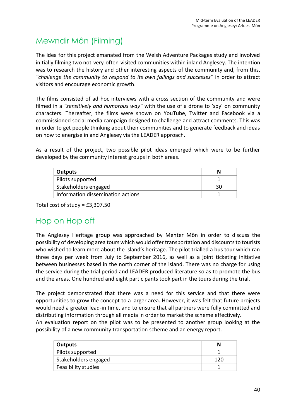# Mewndir Môn (Filming)

The idea for this project emanated from the Welsh Adventure Packages study and involved initially filming two not-very-often-visited communities within inland Anglesey. The intention was to research the history and other interesting aspects of the community and, from this, *"challenge the community to respond to its own failings and successes"* in order to attract visitors and encourage economic growth.

The films consisted of ad hoc interviews with a cross section of the community and were filmed in a *"sensitively and humorous way"* with the use of a drone to 'spy' on community characters. Thereafter, the films were shown on YouTube, Twitter and Facebook via a commissioned social media campaign designed to challenge and attract comments. This was in order to get people thinking about their communities and to generate feedback and ideas on how to energise inland Anglesey via the LEADER approach.

As a result of the project, two possible pilot ideas emerged which were to be further developed by the community interest groups in both areas.

| Outputs                           |    |
|-----------------------------------|----|
| Pilots supported                  |    |
| Stakeholders engaged              | 30 |
| Information dissemination actions |    |

Total cost of study = £3,307.50

## Hop on Hop off

The Anglesey Heritage group was approached by Menter Môn in order to discuss the possibility of developing area tours which would offer transportation and discounts to tourists who wished to learn more about the island's heritage. The pilot trialled a bus tour which ran three days per week from July to September 2016, as well as a joint ticketing initiative between businesses based in the north corner of the island. There was no charge for using the service during the trial period and LEADER produced literature so as to promote the bus and the areas. One hundred and eight participants took part in the tours during the trial.

The project demonstrated that there was a need for this service and that there were opportunities to grow the concept to a larger area. However, it was felt that future projects would need a greater lead-in time, and to ensure that all partners were fully committed and distributing information through all media in order to market the scheme effectively.

An evaluation report on the pilot was to be presented to another group looking at the possibility of a new community transportation scheme and an energy report.

| Outputs              | N |
|----------------------|---|
| Pilots supported     |   |
| Stakeholders engaged |   |
| Feasibility studies  |   |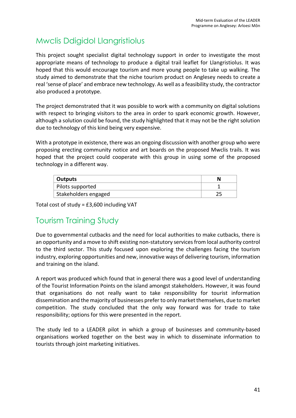# Mwclis Ddigidol Llangristiolus

This project sought specialist digital technology support in order to investigate the most appropriate means of technology to produce a digital trail leaflet for Llangristiolus. It was hoped that this would encourage tourism and more young people to take up walking. The study aimed to demonstrate that the niche tourism product on Anglesey needs to create a real 'sense of place' and embrace new technology. As well as a feasibility study, the contractor also produced a prototype.

The project demonstrated that it was possible to work with a community on digital solutions with respect to bringing visitors to the area in order to spark economic growth. However, although a solution could be found, the study highlighted that it may not be the right solution due to technology of this kind being very expensive.

With a prototype in existence, there was an ongoing discussion with another group who were proposing erecting community notice and art boards on the proposed Mwclis trails. It was hoped that the project could cooperate with this group in using some of the proposed technology in a different way.

| <sup>'</sup> Outputs |  |
|----------------------|--|
| Pilots supported     |  |
| Stakeholders engaged |  |

Total cost of study = £3,600 including VAT

# Tourism Training Study

Due to governmental cutbacks and the need for local authorities to make cutbacks, there is an opportunity and a move to shift existing non-statutory services from local authority control to the third sector. This study focused upon exploring the challenges facing the tourism industry, exploring opportunities and new, innovative ways of delivering tourism, information and training on the island.

A report was produced which found that in general there was a good level of understanding of the Tourist Information Points on the island amongst stakeholders. However, it was found that organisations do not really want to take responsibility for tourist information dissemination and the majority of businesses prefer to only market themselves, due to market competition. The study concluded that the only way forward was for trade to take responsibility; options for this were presented in the report.

The study led to a LEADER pilot in which a group of businesses and community-based organisations worked together on the best way in which to disseminate information to tourists through joint marketing initiatives.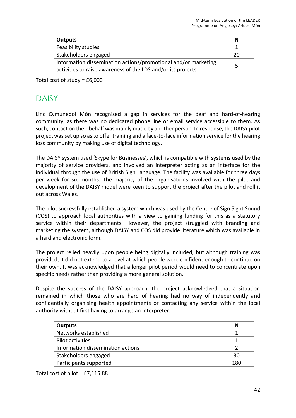| <b>Outputs</b>                                                 | N  |
|----------------------------------------------------------------|----|
| Feasibility studies                                            |    |
| Stakeholders engaged                                           | 20 |
| Information dissemination actions/promotional and/or marketing | ц  |
| activities to raise awareness of the LDS and/or its projects   |    |

Total cost of study = £6,000

## **DAISY**

Linc Cymunedol Môn recognised a gap in services for the deaf and hard-of-hearing community, as there was no dedicated phone line or email service accessible to them. As such, contact on their behalf was mainly made by another person. In response, the DAISY pilot project was set up so as to offer training and a face-to-face information service for the hearing loss community by making use of digital technology.

The DAISY system used 'Skype for Businesses', which is compatible with systems used by the majority of service providers, and involved an interpreter acting as an interface for the individual through the use of British Sign Language. The facility was available for three days per week for six months. The majority of the organisations involved with the pilot and development of the DAISY model were keen to support the project after the pilot and roll it out across Wales.

The pilot successfully established a system which was used by the Centre of Sign Sight Sound (COS) to approach local authorities with a view to gaining funding for this as a statutory service within their departments. However, the project struggled with branding and marketing the system, although DAISY and COS did provide literature which was available in a hard and electronic form.

The project relied heavily upon people being digitally included, but although training was provided, it did not extend to a level at which people were confident enough to continue on their own. It was acknowledged that a longer pilot period would need to concentrate upon specific needs rather than providing a more general solution.

Despite the success of the DAISY approach, the project acknowledged that a situation remained in which those who are hard of hearing had no way of independently and confidentially organising health appointments or contacting any service within the local authority without first having to arrange an interpreter.

| <b>Outputs</b>                    | N   |
|-----------------------------------|-----|
| Networks established              |     |
| Pilot activities                  |     |
| Information dissemination actions |     |
| Stakeholders engaged              | 30  |
| Participants supported            | 180 |

Total cost of pilot =  $£7,115.88$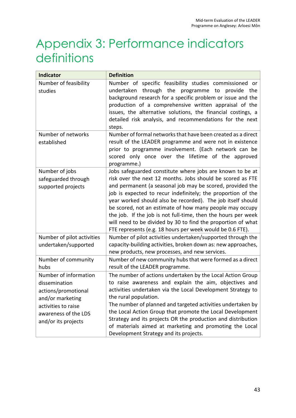# <span id="page-51-0"></span>Appendix 3: Performance indicators definitions

| <b>Indicator</b>                                                                                                                                        | <b>Definition</b>                                                                                                                                                                                                                                                                                                                                                                                                                                                                                                                                                             |
|---------------------------------------------------------------------------------------------------------------------------------------------------------|-------------------------------------------------------------------------------------------------------------------------------------------------------------------------------------------------------------------------------------------------------------------------------------------------------------------------------------------------------------------------------------------------------------------------------------------------------------------------------------------------------------------------------------------------------------------------------|
| Number of feasibility<br>studies                                                                                                                        | Number of specific feasibility studies commissioned or<br>through the<br>programme to<br>undertaken<br>provide<br>the<br>background research for a specific problem or issue and the<br>production of a comprehensive written appraisal of the<br>issues, the alternative solutions, the financial costings, a<br>detailed risk analysis, and recommendations for the next<br>steps.                                                                                                                                                                                          |
| Number of networks<br>established                                                                                                                       | Number of formal networks that have been created as a direct<br>result of the LEADER programme and were not in existence<br>prior to programme involvement. (Each network can be<br>scored only once over the lifetime of the approved<br>programme.)                                                                                                                                                                                                                                                                                                                         |
| Number of jobs<br>safeguarded through<br>supported projects                                                                                             | Jobs safeguarded constitute where jobs are known to be at<br>risk over the next 12 months. Jobs should be scored as FTE<br>and permanent (a seasonal job may be scored, provided the<br>job is expected to recur indefinitely; the proportion of the<br>year worked should also be recorded). The job itself should<br>be scored, not an estimate of how many people may occupy<br>the job. If the job is not full-time, then the hours per week<br>will need to be divided by 30 to find the proportion of what<br>FTE represents (e.g. 18 hours per week would be 0.6 FTE). |
| Number of pilot activities<br>undertaken/supported                                                                                                      | Number of pilot activities undertaken/supported through the<br>capacity-building activities, broken down as: new approaches,<br>new products, new processes, and new services.                                                                                                                                                                                                                                                                                                                                                                                                |
| Number of community<br>hubs                                                                                                                             | Number of new community hubs that were formed as a direct<br>result of the LEADER programme.                                                                                                                                                                                                                                                                                                                                                                                                                                                                                  |
| Number of information<br>dissemination<br>actions/promotional<br>and/or marketing<br>activities to raise<br>awareness of the LDS<br>and/or its projects | The number of actions undertaken by the Local Action Group<br>to raise awareness and explain the aim, objectives and<br>activities undertaken via the Local Development Strategy to<br>the rural population.<br>The number of planned and targeted activities undertaken by<br>the Local Action Group that promote the Local Development<br>Strategy and its projects OR the production and distribution<br>of materials aimed at marketing and promoting the Local<br>Development Strategy and its projects.                                                                 |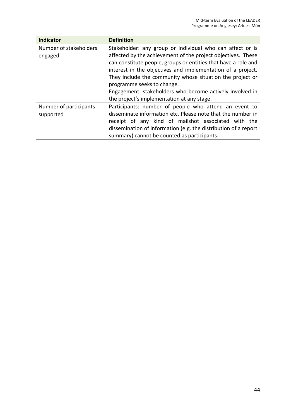| <b>Indicator</b>                    | <b>Definition</b>                                                                                                                                                                                                                                                                                                                                     |
|-------------------------------------|-------------------------------------------------------------------------------------------------------------------------------------------------------------------------------------------------------------------------------------------------------------------------------------------------------------------------------------------------------|
| Number of stakeholders<br>engaged   | Stakeholder: any group or individual who can affect or is<br>affected by the achievement of the project objectives. These<br>can constitute people, groups or entities that have a role and<br>interest in the objectives and implementation of a project.<br>They include the community whose situation the project or<br>programme seeks to change. |
|                                     | Engagement: stakeholders who become actively involved in<br>the project's implementation at any stage.                                                                                                                                                                                                                                                |
| Number of participants<br>supported | Participants: number of people who attend an event to<br>disseminate information etc. Please note that the number in<br>receipt of any kind of mailshot associated with the<br>dissemination of information (e.g. the distribution of a report<br>summary) cannot be counted as participants.                                                         |